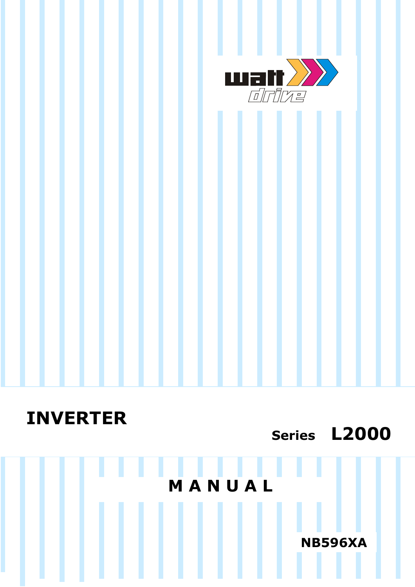

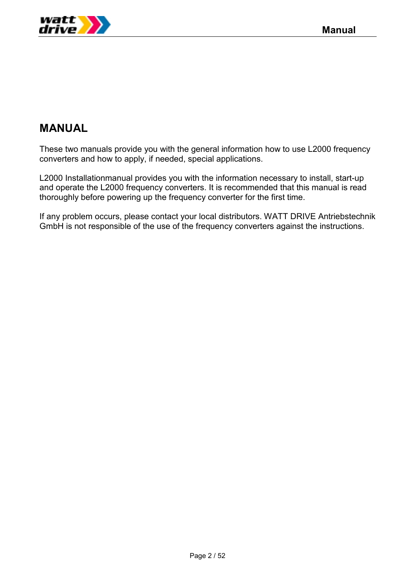

# **MANUAL**

These two manuals provide you with the general information how to use L2000 frequency converters and how to apply, if needed, special applications.

L2000 Installationmanual provides you with the information necessary to install, start-up and operate the L2000 frequency converters. It is recommended that this manual is read thoroughly before powering up the frequency converter for the first time.

If any problem occurs, please contact your local distributors. WATT DRIVE Antriebstechnik GmbH is not responsible of the use of the frequency converters against the instructions.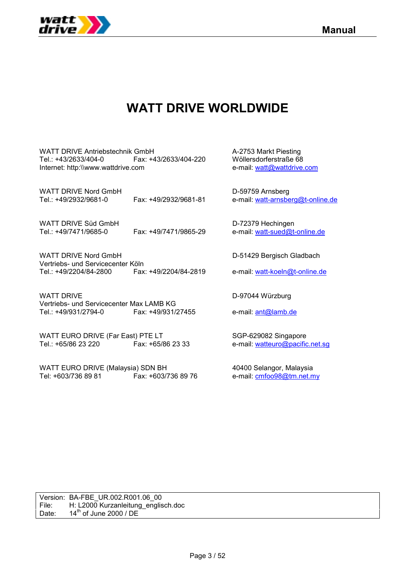



# **WATT DRIVE WORLDWIDE**

WATT DRIVE Antriebstechnik GmbH A-2753 Markt Piesting Tel.: +43/2633/404-0 Fax: +43/2633/404-220 Wöllersdorferstraße 68<br>Internet: http:\\www.wattdrive.com e-mail: watt@wattdrive.com Internet: http:\\www.wattdrive.com

WATT DRIVE Nord GmbH D-59759 Arnsberg Tel.: +49/2932/9681-0 Fax: +49/2932/9681-81 e-mail: watt-arnsberg@t-online.de

WATT DRIVE Süd GmbH D-72379 Hechingen Tel.: +49/7471/9685-0 Fax: +49/7471/9865-29 e-mail: watt-sued@t-online.de

WATT DRIVE Nord GmbH D-51429 Bergisch Gladbach Vertriebs- und Servicecenter Köln Tel.: +49/2204/84-2800 Fax: +49/2204/84-2819 e-mail: watt-koeln@t-online.de

WATT DRIVE **D-97044 Würzburg** Vertriebs- und Servicecenter Max LAMB KG<br>Tel.: +49/931/2794-0 Fax: +49/931/2 Fax: +49/931/27455 e-mail: ant@lamb.de

WATT EURO DRIVE (Far East) PTE LT SGP-629082 Singapore Tel.: +65/86 23 220 Fax: +65/86 23 33 e-mail: watteuro@pacific.net.sg

WATT EURO DRIVE (Malaysia) SDN BH 40400 Selangor, Malaysia Tel: +603/736 89 81 Fax: +603/736 89 76 e-mail: cmfoo98@tm.net.my

Version: BA-FBE\_UR.002.R001.06\_00 File: H: L2000 Kurzanleitung\_englisch.doc Date:  $14^{th}$  of June 2000 / DE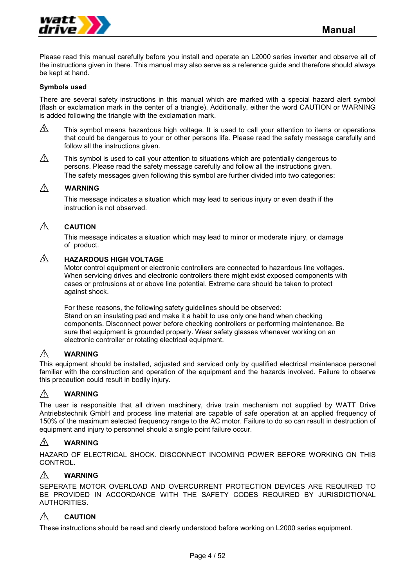

Please read this manual carefully before you install and operate an L2000 series inverter and observe all of the instructions given in there. This manual may also serve as a reference guide and therefore should always be kept at hand.

### **Symbols used**

There are several safety instructions in this manual which are marked with a special hazard alert symbol (flash or exclamation mark in the center of a triangle). Additionally, either the word CAUTION or WARNING is added following the triangle with the exclamation mark.

A This symbol means hazardous high voltage. It is used to call your attention to items or operations that could be dangerous to your or other persons life. Please read the safety message carefully and follow all the instructions given.

 $\wedge$ This symbol is used to call your attention to situations which are potentially dangerous to persons. Please read the safety message carefully and follow all the instructions given. The safety messages given following this symbol are further divided into two categories:

#### Λ  **WARNING**

This message indicates a situation which may lead to serious injury or even death if the instruction is not observed.

#### $\bigwedge$  **CAUTION**

This message indicates a situation which may lead to minor or moderate injury, or damage of product.

#### $\mathbb{A}$ **HAZARDOUS HIGH VOLTAGE**

Motor control equipment or electronic controllers are connected to hazardous line voltages. When servicing drives and electronic controllers there might exist exposed components with cases or protrusions at or above line potential. Extreme care should be taken to protect against shock.

For these reasons, the following safety guidelines should be observed: Stand on an insulating pad and make it a habit to use only one hand when checking components. Disconnect power before checking controllers or performing maintenance. Be sure that equipment is grounded properly. Wear safety glasses whenever working on an electronic controller or rotating electrical equipment.

#### $\bigwedge$ **WARNING**

This equipment should be installed, adjusted and serviced only by qualified electrical maintenace personel familiar with the construction and operation of the equipment and the hazards involved. Failure to observe this precaution could result in bodily injury.

#### $\bigwedge$ **WARNING**

The user is responsible that all driven machinery, drive train mechanism not supplied by WATT Drive Antriebstechnik GmbH and process line material are capable of safe operation at an applied frequency of 150% of the maximum selected frequency range to the AC motor. Failure to do so can result in destruction of equipment and injury to personnel should a single point failure occur.

#### A **WARNING**

HAZARD OF ELECTRICAL SHOCK. DISCONNECT INCOMING POWER BEFORE WORKING ON THIS CONTROL.

#### $\wedge$ **WARNING**

SEPERATE MOTOR OVERLOAD AND OVERCURRENT PROTECTION DEVICES ARE REQUIRED TO BE PROVIDED IN ACCORDANCE WITH THE SAFETY CODES REQUIRED BY JURISDICTIONAL AUTHORITIES.

#### $\mathbb{A}$ **CAUTION**

These instructions should be read and clearly understood before working on L2000 series equipment.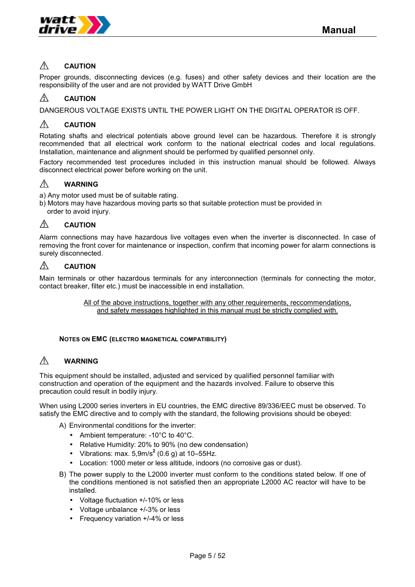

#### $\bigwedge$ **CAUTION**

Proper grounds, disconnecting devices (e.g. fuses) and other safety devices and their location are the responsibility of the user and are not provided by WATT Drive GmbH

#### A **CAUTION**

DANGEROUS VOLTAGE EXISTS UNTIL THE POWER LIGHT ON THE DIGITAL OPERATOR IS OFF.

#### ∧ **CAUTION**

Rotating shafts and electrical potentials above ground level can be hazardous. Therefore it is strongly recommended that all electrical work conform to the national electrical codes and local regulations. Installation, maintenance and alignment should be performed by qualified personnel only.

Factory recommended test procedures included in this instruction manual should be followed. Always disconnect electrical power before working on the unit.

#### $\bigwedge$ **WARNING**

a) Any motor used must be of suitable rating.

b) Motors may have hazardous moving parts so that suitable protection must be provided in order to avoid injury.

#### A **CAUTION**

Alarm connections may have hazardous live voltages even when the inverter is disconnected. In case of removing the front cover for maintenance or inspection, confirm that incoming power for alarm connections is surely disconnected.

#### $\mathbb{A}$ **CAUTION**

Main terminals or other hazardous terminals for any interconnection (terminals for connecting the motor, contact breaker, filter etc.) must be inaccessible in end installation.

> All of the above instructions, together with any other requirements, reccommendations, and safety messages highlighted in this manual must be strictly complied with.

## **NOTES ON EMC (ELECTRO MAGNETICAL COMPATIBILITY)**

#### $\bigwedge$ **WARNING**

This equipment should be installed, adjusted and serviced by qualified personnel familiar with construction and operation of the equipment and the hazards involved. Failure to observe this precaution could result in bodily injury.

When using L2000 series inverters in EU countries, the EMC directive 89/336/EEC must be observed. To satisfy the EMC directive and to comply with the standard, the following provisions should be obeyed:

- A) Environmental conditions for the inverter:
	- Ambient temperature: -10°C to 40°C.
	- Relative Humidity: 20% to 90% (no dew condensation)
	- Vibrations: max.  $5,9m/s^2$  (0.6 g) at 10–55Hz.
	- Location: 1000 meter or less altitude, indoors (no corrosive gas or dust).
- B) The power supply to the L2000 inverter must conform to the conditions stated below. If one of the conditions mentioned is not satisfied then an appropriate L2000 AC reactor will have to be installed.
	- Voltage fluctuation +/-10% or less
	- Voltage unbalance +/-3% or less
	- Frequency variation +/-4% or less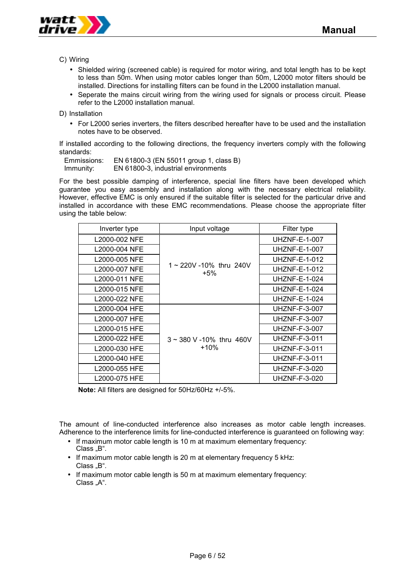

C) Wiring

- Shielded wiring (screened cable) is required for motor wiring, and total length has to be kept to less than 50m. When using motor cables longer than 50m, L2000 motor filters should be installed. Directions for installing filters can be found in the L2000 installation manual.
- Seperate the mains circuit wiring from the wiring used for signals or process circuit. Please refer to the L2000 installation manual.

D) Installation

• For L2000 series inverters, the filters described hereafter have to be used and the installation notes have to be observed.

If installed according to the following directions, the frequency inverters comply with the following standards:

| Emmissions: | EN 61800-3 (EN 55011 group 1, class B) |
|-------------|----------------------------------------|
| Immunity:   | EN 61800-3, industrial environments    |

For the best possible damping of interference, special line filters have been developed which guarantee you easy assembly and installation along with the necessary electrical reliability. However, effective EMC is only ensured if the suitable filter is selected for the particular drive and installed in accordance with these EMC recommendations. Please choose the appropriate filter using the table below:

| Inverter type | Input voltage                 | Filter type          |
|---------------|-------------------------------|----------------------|
| L2000-002 NFE |                               | UHZNF-E-1-007        |
| L2000-004 NFE |                               | <b>UHZNF-E-1-007</b> |
| L2000-005 NFE |                               | UHZNF-E-1-012        |
| L2000-007 NFE | 1~220V-10% thru 240V<br>$+5%$ | UHZNF-E-1-012        |
| L2000-011 NFE |                               | <b>UHZNF-E-1-024</b> |
| L2000-015 NFE |                               | <b>UHZNF-E-1-024</b> |
| L2000-022 NFE |                               | <b>UHZNF-E-1-024</b> |
| L2000-004 HFE |                               | UHZNF-F-3-007        |
| L2000-007 HFE |                               | UHZNF-F-3-007        |
| L2000-015 HFE |                               | <b>UHZNF-F-3-007</b> |
| L2000-022 HFE | $3 \sim 380$ V -10% thru 460V | <b>UHZNF-F-3-011</b> |
| L2000-030 HFE | $+10%$                        | <b>UHZNF-F-3-011</b> |
| L2000-040 HFE |                               | <b>UHZNF-F-3-011</b> |
| L2000-055 HFE |                               | <b>UHZNF-F-3-020</b> |
| L2000-075 HFE |                               | UHZNF-F-3-020        |

**Note:** All filters are designed for 50Hz/60Hz +/-5%.

The amount of line-conducted interference also increases as motor cable length increases. Adherence to the interference limits for line-conducted interference is guaranteed on following way:

- If maximum motor cable length is 10 m at maximum elementary frequency: Class "B".
- If maximum motor cable length is 20 m at elementary frequency 5 kHz:  $Class, B$ ".
- If maximum motor cable length is 50 m at maximum elementary frequency: Class "A".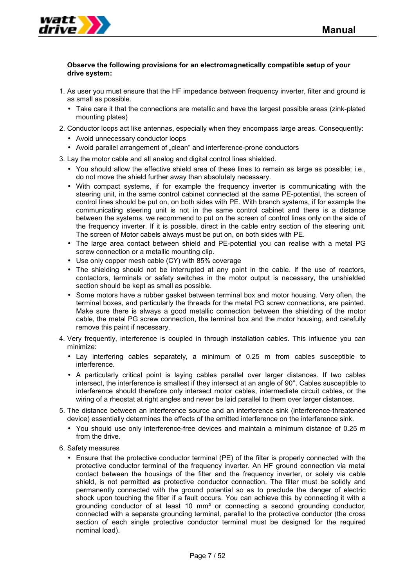

## **Observe the following provisions for an electromagnetically compatible setup of your drive system:**

- 1. As user you must ensure that the HF impedance between frequency inverter, filter and ground is as small as possible.
	- Take care it that the connections are metallic and have the largest possible areas (zink-plated mounting plates)
- 2. Conductor loops act like antennas, especially when they encompass large areas. Consequently:
	- Avoid unnecessary conductor loops
	- Avoid parallel arrangement of "clean" and interference-prone conductors
- 3. Lay the motor cable and all analog and digital control lines shielded.
	- You should allow the effective shield area of these lines to remain as large as possible; i.e., do not move the shield further away than absolutely necessary.
	- With compact systems, if for example the frequency inverter is communicating with the steering unit, in the same control cabinet connected at the same PE-potential, the screen of control lines should be put on, on both sides with PE. With branch systems, if for example the communicating steering unit is not in the same control cabinet and there is a distance between the systems, we recommend to put on the screen of control lines only on the side of the frequency inverter. If it is possible, direct in the cable entry section of the steering unit. The screen of Motor cabels always must be put on, on both sides with PE.
	- The large area contact between shield and PE-potential you can realise with a metal PG screw connection or a metallic mounting clip.
	- Use only copper mesh cable (CY) with 85% coverage
	- The shielding should not be interrupted at any point in the cable. If the use of reactors, contactors, terminals or safety switches in the motor output is necessary, the unshielded section should be kept as small as possible.
	- Some motors have a rubber gasket between terminal box and motor housing. Very often, the terminal boxes, and particularly the threads for the metal PG screw connections, are painted. Make sure there is always a good metallic connection between the shielding of the motor cable, the metal PG screw connection, the terminal box and the motor housing, and carefully remove this paint if necessary.
- 4. Very frequently, interference is coupled in through installation cables. This influence you can minimize:
	- Lay interfering cables separately, a minimum of 0.25 m from cables susceptible to interference.
	- A particularly critical point is laying cables parallel over larger distances. If two cables intersect, the interference is smallest if they intersect at an angle of 90°. Cables susceptible to interference should therefore only intersect motor cables, intermediate circuit cables, or the wiring of a rheostat at right angles and never be laid parallel to them over larger distances.
- 5. The distance between an interference source and an interference sink (interference-threatened device) essentially determines the effects of the emitted interference on the interference sink.
	- You should use only interference-free devices and maintain a minimum distance of 0.25 m from the drive.
- 6. Safety measures
	- Ensure that the protective conductor terminal (PE) of the filter is properly connected with the protective conductor terminal of the frequency inverter. An HF ground connection via metal contact between the housings of the filter and the frequency inverter, or solely via cable shield, is not permitted *as* protective conductor connection. The filter must be solidly and permanently connected with the ground potential so as to preclude the danger of electric shock upon touching the filter if a fault occurs. You can achieve this by connecting it with a grounding conductor of at least 10 mm² or connecting a second grounding conductor, connected with a separate grounding terminal, parallel to the protective conductor (the cross section of each single protective conductor terminal must be designed for the required nominal load).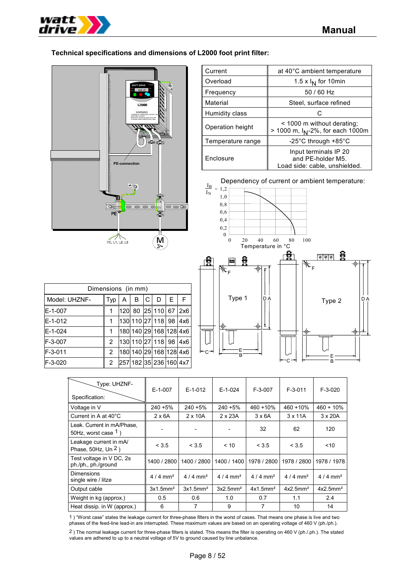

 $\blacksquare$ 

## **Technical specifications and dimensions of L2000 foot print filter:**

| $\ddot{\bullet}$<br>* POWER<br><b>WATT DRIVE</b><br>RUN<br>55 <sub>0</sub><br>PRO<br>L2000<br>WARNING<br>HAZARD OF PERSONAL INJURY OR<br>ELECTRIC SHOCK<br>Disconned incoming sower and wait<br>5 minutes before opening front case.<br>m<br>b<br><b>ELE</b> 000<br><b>PE-connection</b><br>$\pm$ $\circledast$<br>ভ<br>∟∋ |
|----------------------------------------------------------------------------------------------------------------------------------------------------------------------------------------------------------------------------------------------------------------------------------------------------------------------------|
| delac<br>∍Œ<br>f.<br>PE<br>œ<br>w<br>Īį<br>м<br>PE, L1, L2, L3                                                                                                                                                                                                                                                             |

| Current           | at 40°C ambient temperature                                                 |  |  |  |
|-------------------|-----------------------------------------------------------------------------|--|--|--|
| Overload          | 1.5 x $I_N$ for 10 min                                                      |  |  |  |
| Frequency         | 50 / 60 Hz                                                                  |  |  |  |
| Material          | Steel, surface refined                                                      |  |  |  |
| Humidity class    | C.                                                                          |  |  |  |
| Operation height  | < 1000 m without derating;<br>> 1000 m, I <sub>N</sub> -2%, for each 1000m  |  |  |  |
| Temperature range | -25°C through $+85^{\circ}$ C                                               |  |  |  |
| Enclosure         | Input terminals IP 20<br>and PE-holder M5.<br>Load side: cable, unshielded. |  |  |  |

Dependency of current or ambient temperature:



| Dimensions (in mm) |     |     |   |   |                        |   |     |  |  |
|--------------------|-----|-----|---|---|------------------------|---|-----|--|--|
| Model: UHZNF-      | Typ | Α   | B | C | D                      | Е | F   |  |  |
| E-1-007            | 1   | 120 |   |   | 80 25 110 67           |   | 2x6 |  |  |
| E-1-012            | 1   |     |   |   | 130 110 27 118 98      |   | 4x6 |  |  |
| E-1-024            | 1   |     |   |   | 180 140 29 168 128 4x6 |   |     |  |  |
| F-3-007            | 2   |     |   |   | 130 110 27 118 98      |   | 4x6 |  |  |
| F-3-011            | 2   |     |   |   | 180 140 29 168 128 4x6 |   |     |  |  |
| F-3-020            | 2   |     |   |   | 257 182 35 236 160 4x7 |   |     |  |  |

| €<br>$\overline{\infty}$<br>$R\llap/_{\rm F}$ | ۰   | F | 荳<br>଼<br>଼<br>଼ |    |
|-----------------------------------------------|-----|---|------------------|----|
| Type 1                                        | D A |   | Type 2           | DA |
| u<br>В                                        |     |   | в                |    |

| Type: UHZNF-<br>Specification:                       | $E-1-007$             | $E-1-012$             | $E-1-024$               | $F-3-007$             | $F-3-011$             | $F-3-020$             |
|------------------------------------------------------|-----------------------|-----------------------|-------------------------|-----------------------|-----------------------|-----------------------|
| Voltage in V                                         | 240 +5%               | 240 +5%               | $240 + 5%$              | 460 +10%              | 460 + 10%             | $460 + 10%$           |
| Current in A at 40°C                                 | $2 \times 6A$         | $2 \times 10A$        | $2 \times 23A$          | $3 \times 6A$         | $3 \times 11$ A       | $3 \times 20A$        |
| Leak. Current in mA/Phase,<br>50Hz, worst case $1$ ) |                       |                       |                         | 32                    | 62                    | 120                   |
| Leakage current in mA/<br>Phase, 50Hz, Un $2$ )      | < 3.5                 | < 3.5                 | ~10                     | < 3.5                 | < 3.5                 | ~10                   |
| Test voltage in V DC, 2s<br>ph./ph., ph./ground      | 1400 / 2800           | 1400 / 2800           | 1400 / 1400             | 1978 / 2800           | 1978 / 2800           | 1978 / 1978           |
| Dimensions<br>single wire / litze                    | $4/4$ mm <sup>2</sup> | $4/4$ mm <sup>2</sup> | $4/4$ mm <sup>2</sup>   | $4/4$ mm <sup>2</sup> | $4/4$ mm <sup>2</sup> | $4/4$ mm <sup>2</sup> |
| Output cable                                         | 3x1.5mm <sup>2</sup>  | 3x1.5mm <sup>2</sup>  | $3x2.5$ mm <sup>2</sup> | 4x1.5mm <sup>2</sup>  | 4x2.5mm <sup>2</sup>  | 4x2.5mm <sup>2</sup>  |
| Weight in kg (approx.)                               | 0.5                   | 0.6                   | 1.0                     | 0.7                   | 1.1                   | 2.4                   |
| Heat dissip. in W (approx.)                          | 6                     | 7                     | 9                       | 7                     | 10                    | 14                    |

1 ) "Worst case" states the leakage current for three-phase filters in the worst of cases. That means one phase is live and two phases of the feed-line lead-in are interrupted. These maximum values are based on an operating voltage of 460 V (ph./ph.).

2 ) The normal leakage current for three-phase filters is stated. This means the filter is operating on 460 V (ph./.ph.). The stated values are adhered to up to a neutral voltage of 5V to ground caused by line unbalance.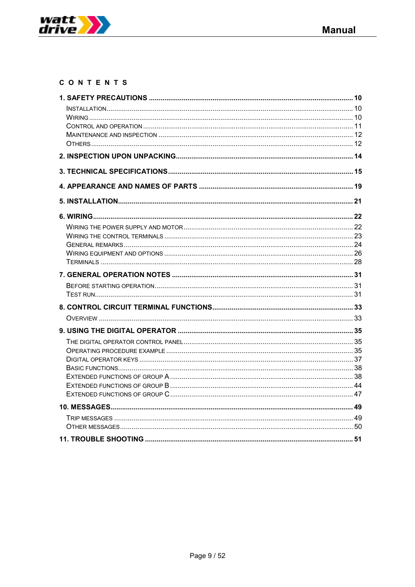

# CONTENTS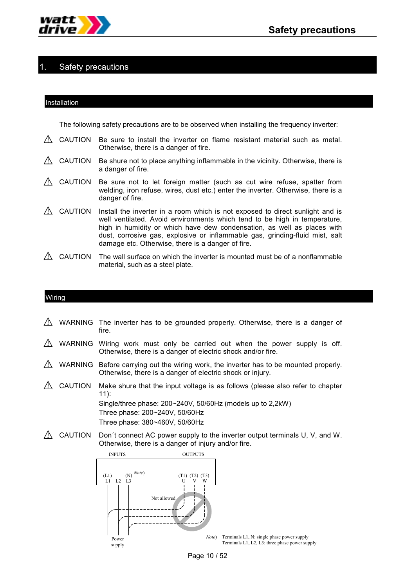

# Safety precautions

### Installation

The following safety precautions are to be observed when installing the frequency inverter:

- CAUTION Be sure to install the inverter on flame resistant material such as metal.  $\mathbb{A}$ Otherwise, there is a danger of fire.
- $\triangle$  CAUTION Be shure not to place anything inflammable in the vicinity. Otherwise, there is a danger of fire.
- CAUTION Be sure not to let foreign matter (such as cut wire refuse, spatter from welding, iron refuse, wires, dust etc.) enter the inverter. Otherwise, there is a danger of fire.
- $\triangle$  CAUTION Install the inverter in a room which is not exposed to direct sunlight and is well ventilated. Avoid environments which tend to be high in temperature, high in humidity or which have dew condensation, as well as places with dust, corrosive gas, explosive or inflammable gas, grinding-fluid mist, salt damage etc. Otherwise, there is a danger of fire.
- $\triangle$  CAUTION The wall surface on which the inverter is mounted must be of a nonflammable material, such as a steel plate.

## Wiring

- $\triangle$  WARNING The inverter has to be grounded properly. Otherwise, there is a danger of fire.
- WARNING Wiring work must only be carried out when the power supply is off. Otherwise, there is a danger of electric shock and/or fire.
- $\Lambda$  WARNING Before carrying out the wiring work, the inverter has to be mounted properly. Otherwise, there is a danger of electric shock or injury.
- $\triangle$  CAUTION Make shure that the input voltage is as follows (please also refer to chapter 11): Single/three phase: 200~240V, 50/60Hz (models up to 2,2kW)

Three phase: 200~240V, 50/60Hz Three phase: 380~460V, 50/60Hz

 $\triangle$  CAUTION Don't connect AC power supply to the inverter output terminals U, V, and W. Otherwise, there is a danger of injury and/or fire.



Page 10 / 52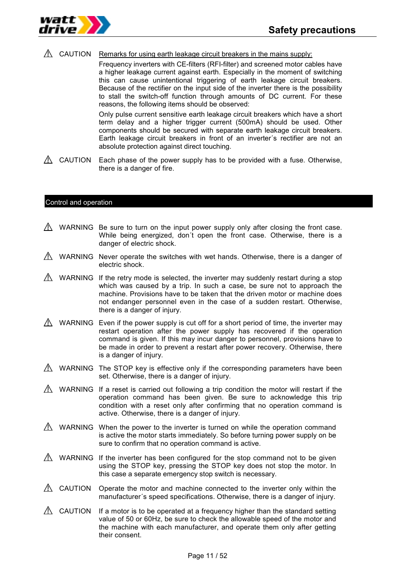

## $\triangle$  CAUTION Remarks for using earth leakage circuit breakers in the mains supply:

Frequency inverters with CE-filters (RFI-filter) and screened motor cables have a higher leakage current against earth. Especially in the moment of switching this can cause unintentional triggering of earth leakage circuit breakers. Because of the rectifier on the input side of the inverter there is the possibility to stall the switch-off function through amounts of DC current. For these reasons, the following items should be observed:

Only pulse current sensitive earth leakage circuit breakers which have a short term delay and a higher trigger current (500mA) should be used. Other components should be secured with separate earth leakage circuit breakers. Earth leakage circuit breakers in front of an inverter´s rectifier are not an absolute protection against direct touching.

 $\triangle$  CAUTION Each phase of the power supply has to be provided with a fuse. Otherwise, there is a danger of fire.

#### Control and operation

- $\Lambda$  WARNING Be sure to turn on the input power supply only after closing the front case. While being energized, don´t open the front case. Otherwise, there is a danger of electric shock.
- $\triangle$  WARNING Never operate the switches with wet hands. Otherwise, there is a danger of electric shock.
- $\triangle$  WARNING If the retry mode is selected, the inverter may suddenly restart during a stop which was caused by a trip. In such a case, be sure not to approach the machine. Provisions have to be taken that the driven motor or machine does not endanger personnel even in the case of a sudden restart. Otherwise, there is a danger of injury.
- WARNING Even if the power supply is cut off for a short period of time, the inverter may restart operation after the power supply has recovered if the operation command is given. If this may incur danger to personnel, provisions have to be made in order to prevent a restart after power recovery. Otherwise, there is a danger of injury.
- $\triangle$  WARNING The STOP key is effective only if the corresponding parameters have been set. Otherwise, there is a danger of injury.
- $\triangle$  WARNING If a reset is carried out following a trip condition the motor will restart if the operation command has been given. Be sure to acknowledge this trip condition with a reset only after confirming that no operation command is active. Otherwise, there is a danger of injury.
- $\Lambda$  WARNING When the power to the inverter is turned on while the operation command is active the motor starts immediately. So before turning power supply on be sure to confirm that no operation command is active.
- WARNING If the inverter has been configured for the stop command not to be given using the STOP key, pressing the STOP key does not stop the motor. In this case a separate emergency stop switch is necessary.
- $\triangle$  CAUTION Operate the motor and machine connected to the inverter only within the manufacturer´s speed specifications. Otherwise, there is a danger of injury.
- $\triangle$  CAUTION If a motor is to be operated at a frequency higher than the standard setting value of 50 or 60Hz, be sure to check the allowable speed of the motor and the machine with each manufacturer, and operate them only after getting their consent.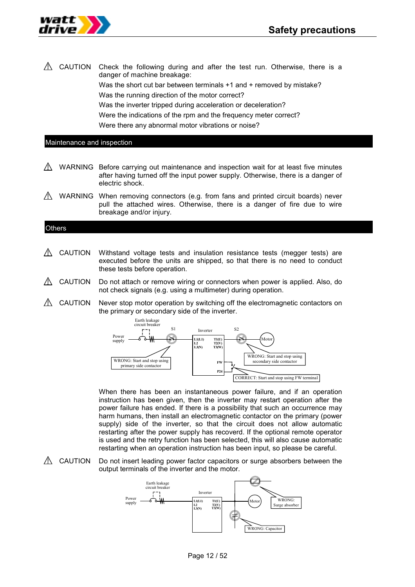

 $\triangle$  CAUTION Check the following during and after the test run. Otherwise, there is a danger of machine breakage: Was the short cut bar between terminals +1 and + removed by mistake? Was the running direction of the motor correct? Was the inverter tripped during acceleration or deceleration?

Were the indications of the rpm and the frequency meter correct?

Were there any abnormal motor vibrations or noise?

## Maintenance and inspection

- WARNING Before carrying out maintenance and inspection wait for at least five minutes after having turned off the input power supply. Otherwise, there is a danger of electric shock.
- WARNING When removing connectors (e.g. from fans and printed circuit boards) never pull the attached wires. Otherwise, there is a danger of fire due to wire breakage and/or injury.

## **Others**

- CAUTION Withstand voltage tests and insulation resistance tests (megger tests) are executed before the units are shipped, so that there is no need to conduct these tests before operation.
- CAUTION Do not attach or remove wiring or connectors when power is applied. Also, do not check signals (e.g. using a multimeter) during operation.
- $\triangle$  CAUTION Never stop motor operation by switching off the electromagnetic contactors on the primary or secondary side of the inverter.



When there has been an instantaneous power failure, and if an operation instruction has been given, then the inverter may restart operation after the power failure has ended. If there is a possibility that such an occurrence may harm humans, then install an electromagnetic contactor on the primary (power supply) side of the inverter, so that the circuit does not allow automatic restarting after the power supply has recoverd. If the optional remote operator is used and the retry function has been selected, this will also cause automatic restarting when an operation instruction has been input, so please be careful.

 $\triangle$  CAUTION Do not insert leading power factor capacitors or surge absorbers between the output terminals of the inverter and the motor.

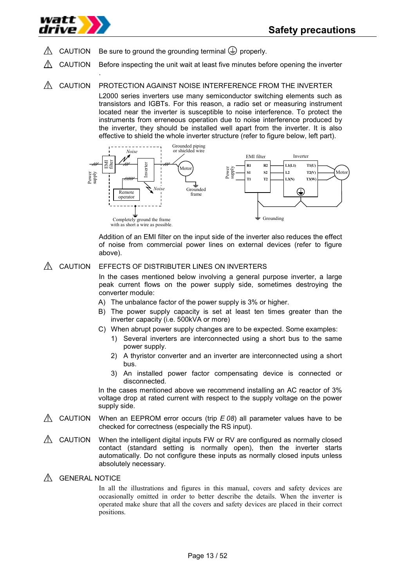

.

- $\triangle$  CAUTION Be sure to ground the grounding terminal  $\Rightarrow$  properly.
- CAUTION Before inspecting the unit wait at least five minutes before opening the inverter
- A CAUTION PROTECTION AGAINST NOISE INTERFERENCE FROM THE INVERTER L2000 series inverters use many semiconductor switching elements such as transistors and IGBTs. For this reason, a radio set or measuring instrument located near the inverter is susceptible to noise interference. To protect the instruments from erreneous operation due to noise interference produced by the inverter, they should be installed well apart from the inverter. It is also effective to shield the whole inverter structure (refer to figure below, left part).



Addition of an EMI filter on the input side of the inverter also reduces the effect of noise from commercial power lines on external devices (refer to figure above).

## A CAUTION EFFECTS OF DISTRIBUTER LINES ON INVERTERS

In the cases mentioned below involving a general purpose inverter, a large peak current flows on the power supply side, sometimes destroying the converter module:

- A) The unbalance factor of the power supply is 3% or higher.
- B) The power supply capacity is set at least ten times greater than the inverter capacity (i.e. 500kVA or more)
- C) When abrupt power supply changes are to be expected. Some examples:
	- 1) Several inverters are interconnected using a short bus to the same power supply.
	- 2) A thyristor converter and an inverter are interconnected using a short bus.
	- 3) An installed power factor compensating device is connected or disconnected.

In the cases mentioned above we recommend installing an AC reactor of 3% voltage drop at rated current with respect to the supply voltage on the power supply side.

- $\triangle$  CAUTION When an EEPROM error occurs (trip  $E$  08) all parameter values have to be checked for correctness (especially the RS input).
- $\triangle$  CAUTION When the intelligent digital inputs FW or RV are configured as normally closed contact (standard setting is normally open), then the inverter starts automatically. Do not configure these inputs as normally closed inputs unless absolutely necessary.
- **A GENERAL NOTICE**

In all the illustrations and figures in this manual, covers and safety devices are occasionally omitted in order to better describe the details. When the inverter is operated make shure that all the covers and safety devices are placed in their correct positions.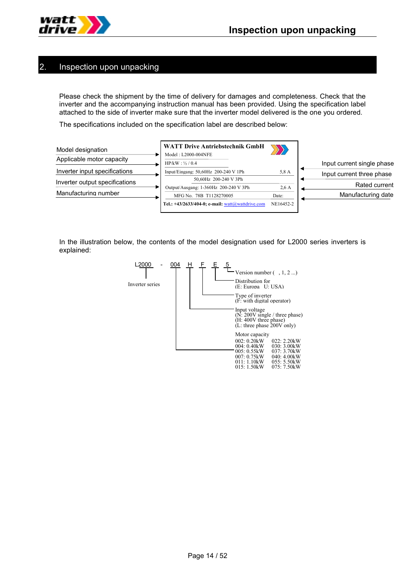

## 2. Inspection upon unpacking

Please check the shipment by the time of delivery for damages and completeness. Check that the inverter and the accompanying instruction manual has been provided. Using the specification label attached to the side of inverter make sure that the inverter model delivered is the one you ordered.

The specifications included on the specification label are described below:



In the illustration below, the contents of the model designation used for L2000 series inverters is explained:

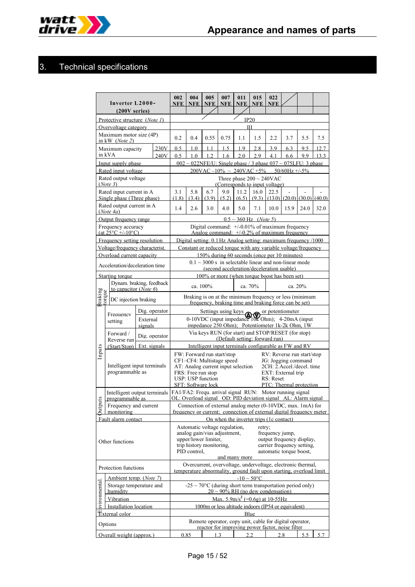

# 3. Technical specifications

| Inverter L2000-<br>$(200V)$ series)               |                                                                   |                     |                                                                                                                                                                                                                                                                                                                      | 002<br><b>NFE</b>                                                                                                | 004<br>NFE <sup>1</sup> | 005<br><b>NFE</b> | 007<br><b>NFE</b>                                                       | 011<br>NFE <sup>1</sup>            | 015<br><b>NFE</b> | 022<br><b>NFE</b> |                                                                                                                           |      |      |
|---------------------------------------------------|-------------------------------------------------------------------|---------------------|----------------------------------------------------------------------------------------------------------------------------------------------------------------------------------------------------------------------------------------------------------------------------------------------------------------------|------------------------------------------------------------------------------------------------------------------|-------------------------|-------------------|-------------------------------------------------------------------------|------------------------------------|-------------------|-------------------|---------------------------------------------------------------------------------------------------------------------------|------|------|
| Protective structure (Note 1)                     |                                                                   |                     |                                                                                                                                                                                                                                                                                                                      |                                                                                                                  |                         |                   |                                                                         | IP20                               |                   |                   |                                                                                                                           |      |      |
|                                                   | Overvoltage category                                              |                     |                                                                                                                                                                                                                                                                                                                      |                                                                                                                  |                         |                   |                                                                         | Ш                                  |                   |                   |                                                                                                                           |      |      |
| Maximum motor size (4P)<br>in kW $(Note 2)$       |                                                                   |                     |                                                                                                                                                                                                                                                                                                                      | 0.2                                                                                                              | 0.4                     | 0.55              | 0.75                                                                    | 1.1                                | 1.5               | 2.2               | 3.7                                                                                                                       | 5.5  | 7.5  |
|                                                   | Maximum capacity<br>in kVA                                        |                     | 230V                                                                                                                                                                                                                                                                                                                 | 0.5                                                                                                              | 1.0                     | $1\;1$            | 1.5                                                                     | 1.9                                | 2.8               | 3.9               | 6.3                                                                                                                       | 9.5  | 12.7 |
|                                                   | Input supply phase                                                |                     | 240V                                                                                                                                                                                                                                                                                                                 | 0.5                                                                                                              | 1.0                     | 1.2               | 1.6                                                                     | 2.0                                | 2.9               | 4.1               | 6.6<br>$0.02 \sim 0.22$ NFE/U: Single phase / 3 phase $0.37 \sim 0.75$ LFU: 3 phase                                       | 9.9  | 13.3 |
|                                                   | Rated input voltage                                               |                     |                                                                                                                                                                                                                                                                                                                      |                                                                                                                  |                         |                   |                                                                         |                                    |                   |                   | $200 \text{VAC} - 10\% \sim 240 \text{VAC} + 5\% = 50/60 \text{Hz} + 5\%$                                                 |      |      |
|                                                   | Rated output voltage<br>(Note 3)                                  |                     |                                                                                                                                                                                                                                                                                                                      |                                                                                                                  |                         |                   | Three phase $200 \sim 240 \text{VAC}$<br>(Corresponds to input voltage) |                                    |                   |                   |                                                                                                                           |      |      |
|                                                   | Rated input current in A<br>Single phase (Three phase)            |                     |                                                                                                                                                                                                                                                                                                                      | 3.1<br>(1.8)                                                                                                     | 5.8<br>(3.4)            | 6.7<br>(3.9)      | 9.0<br>(5.2)                                                            | 11.2<br>(6.5)                      | 16.0<br>(9.3)     | 22.5              | $(13.0)$ $(20.0)$ $(30.0)$ $(40.0)$                                                                                       |      |      |
|                                                   | Rated output current in A<br>(Note4a)                             |                     |                                                                                                                                                                                                                                                                                                                      | 1.4                                                                                                              | 2.6                     | 3.0               | 4.0                                                                     | 5.0                                | 7.1               | 10.0              | 15.9                                                                                                                      | 24.0 | 32.0 |
|                                                   | Output frequency range                                            |                     |                                                                                                                                                                                                                                                                                                                      |                                                                                                                  |                         |                   |                                                                         | $0.5 \sim 360$ Hz ( <i>Note</i> 5) |                   |                   |                                                                                                                           |      |      |
|                                                   | Frequency accuracy<br>$(at 25^{\circ}C +/-10^{\circ}C)$           |                     |                                                                                                                                                                                                                                                                                                                      |                                                                                                                  |                         |                   |                                                                         |                                    |                   |                   | Digital command: +/-0.01% of maximum frequency<br>Analog command: $+/0.2\%$ of maximum frequency                          |      |      |
|                                                   | Frequency setting resolution                                      |                     |                                                                                                                                                                                                                                                                                                                      |                                                                                                                  |                         |                   |                                                                         |                                    |                   |                   | Digital setting: 0.1 Hz Analog setting: maximum frequency /1000                                                           |      |      |
|                                                   | Voltage/frequency characterist.                                   |                     |                                                                                                                                                                                                                                                                                                                      |                                                                                                                  |                         |                   |                                                                         |                                    |                   |                   | Constant or reduced torque with any variable voltage/frequency                                                            |      |      |
|                                                   | Overload current capacity<br>Acceleration/deceleration time       |                     |                                                                                                                                                                                                                                                                                                                      |                                                                                                                  |                         |                   | (second acceleration/deceleration usable)                               |                                    |                   |                   | 150% during 60 seconds (once per 10 minutes)<br>$0.1 \sim 3000$ s in selectable linear and non-linear mode                |      |      |
|                                                   | Starting torque                                                   |                     |                                                                                                                                                                                                                                                                                                                      |                                                                                                                  |                         |                   |                                                                         |                                    |                   |                   | 100% or more (when torque boost has been set)                                                                             |      |      |
| Dynam. braking, feedback<br>to capacitor (Note 6) |                                                                   |                     |                                                                                                                                                                                                                                                                                                                      |                                                                                                                  | ca. 100%                |                   |                                                                         | ca. 70%                            |                   |                   | ca. 20%                                                                                                                   |      |      |
| Braking<br>‡orque                                 | DC injection braking                                              |                     |                                                                                                                                                                                                                                                                                                                      | Braking is on at the minimum frequency or less (minimum<br>frequency, braking time and braking force can be set) |                         |                   |                                                                         |                                    |                   |                   |                                                                                                                           |      |      |
|                                                   | Frequency                                                         |                     | Dig. operator                                                                                                                                                                                                                                                                                                        | Settings using keys not potentiometer                                                                            |                         |                   |                                                                         |                                    |                   |                   |                                                                                                                           |      |      |
|                                                   | setting                                                           | External<br>signals |                                                                                                                                                                                                                                                                                                                      | 0-10VDC (input impedance 10K Ohm); 4-20mA (input<br>impedance 250 Ohm); Potentiometer 1k-2k Ohm, 1W              |                         |                   |                                                                         |                                    |                   |                   |                                                                                                                           |      |      |
|                                                   | Forward /<br>Reverse run                                          |                     | Dig. operator                                                                                                                                                                                                                                                                                                        |                                                                                                                  |                         |                   | (Default setting: forward run)                                          |                                    |                   |                   | Via keys RUN (for start) and STOP/RESET (for stop)                                                                        |      |      |
|                                                   | (Start/Stop)                                                      | Ext. signals        |                                                                                                                                                                                                                                                                                                                      |                                                                                                                  |                         |                   |                                                                         |                                    |                   |                   | Intelligent input terminals configurable as FW and RV                                                                     |      |      |
| Inputs                                            | Intelligent input terminals<br>programmable as                    |                     | FW: Forward run start/stop<br>RV: Reverse run start/stop<br>CF1-CF4: Multistage speed<br>JG: Jogging command<br>AT: Analog current input selection<br>2CH: 2.Accel./decel.time<br>EXT: External trip<br>FRS: Free run stop<br><b>USP: USP function</b><br>RS: Reset<br>SFT: Software lock<br>PTC: Thermal protection |                                                                                                                  |                         |                   |                                                                         |                                    |                   |                   |                                                                                                                           |      |      |
|                                                   | Intelligent output terminals<br>programmable as                   |                     |                                                                                                                                                                                                                                                                                                                      |                                                                                                                  |                         |                   |                                                                         |                                    |                   |                   | FA1/FA2: Frequ. arrival signal RUN: Motor running signal<br>OL: Overload signal OD: PID deviation signal AL: Alarm signal |      |      |
| uts                                               | Frequency and current                                             |                     |                                                                                                                                                                                                                                                                                                                      |                                                                                                                  |                         |                   |                                                                         |                                    |                   |                   | Connection of external analog meter (0-10VDC, max. 1mA) for                                                               |      |      |
|                                                   | monitoring<br>Fault alarm contact                                 |                     |                                                                                                                                                                                                                                                                                                                      |                                                                                                                  |                         |                   |                                                                         |                                    |                   |                   | frequency or current: connection of external digital frequency meter                                                      |      |      |
| Other functions                                   |                                                                   |                     | On when the inverter trips (1c contact)<br>Automatic voltage regulation,<br>retry;<br>analog gain/vias adjustment,<br>frequency jump,<br>upper/lower limiter,<br>output frequency display,<br>trip history monitoring,<br>carrier frequency setting.<br>PID control.<br>automatic torque boost,                      |                                                                                                                  |                         |                   |                                                                         |                                    |                   |                   |                                                                                                                           |      |      |
|                                                   |                                                                   |                     |                                                                                                                                                                                                                                                                                                                      |                                                                                                                  |                         |                   | and many more                                                           |                                    |                   |                   | Overcurrent, overvoltage, undervoltage, electronic thermal,                                                               |      |      |
|                                                   | Protection functions<br>Ambient temp. (Note 7)                    |                     |                                                                                                                                                                                                                                                                                                                      |                                                                                                                  |                         |                   |                                                                         | $-10 \sim 50^{\circ}$ C            |                   |                   | temperature abnormality, ground fault upon starting, overload limit                                                       |      |      |
| <b><i>nvironmental</i></b>                        | Storage temperature and<br>humidity                               |                     |                                                                                                                                                                                                                                                                                                                      |                                                                                                                  |                         |                   | $20 \sim 90\%$ RH (no dew condensation)                                 |                                    |                   |                   | -25 ~ 70 $^{\circ}$ C (during short term transportation period only)                                                      |      |      |
|                                                   | Vibration                                                         |                     |                                                                                                                                                                                                                                                                                                                      |                                                                                                                  |                         |                   | Max. $5.9 \text{m/s}^2$ (=0.6g) at 10-55Hz                              |                                    |                   |                   |                                                                                                                           |      |      |
|                                                   | <b>Installation</b> location<br>$\ddot{\mathbf{E}}$ xternal color |                     |                                                                                                                                                                                                                                                                                                                      |                                                                                                                  |                         |                   |                                                                         |                                    |                   |                   | 1000m or less altitude indoors (IP54 or equivalent)                                                                       |      |      |
|                                                   | Options                                                           |                     |                                                                                                                                                                                                                                                                                                                      |                                                                                                                  |                         |                   |                                                                         | Blue                               |                   |                   | Remote operator, copy unit, cable for digital operator,                                                                   |      |      |
|                                                   | Overall weight (approx.)                                          |                     |                                                                                                                                                                                                                                                                                                                      |                                                                                                                  | 0.85                    |                   | 1.3                                                                     | 22                                 |                   |                   | reactor for improving power factor, noise filter<br>2.8                                                                   | 5.5  | 5.7  |
|                                                   |                                                                   |                     |                                                                                                                                                                                                                                                                                                                      |                                                                                                                  |                         |                   |                                                                         |                                    |                   |                   |                                                                                                                           |      |      |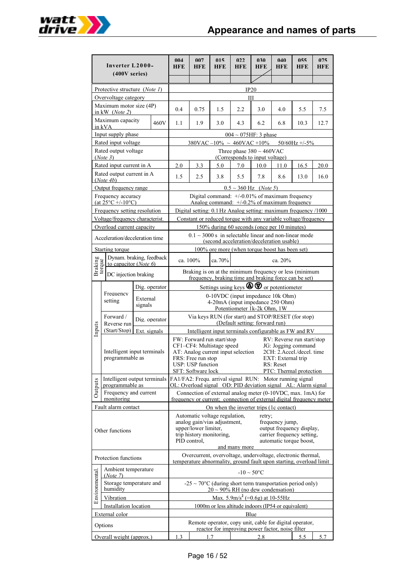

| Inverter L2000-<br>$(400V)$ series)               |                                                              |                             |               | 004<br>HFE                                                                                                                                                                      | 007<br>HFE                                                                                                       | 015<br>HFE                                                    | 022<br>HFE                                                       | 030<br>HFE | 040<br>HFE         | 055<br>HFE                                                                                                                         | 075<br>HFE |
|---------------------------------------------------|--------------------------------------------------------------|-----------------------------|---------------|---------------------------------------------------------------------------------------------------------------------------------------------------------------------------------|------------------------------------------------------------------------------------------------------------------|---------------------------------------------------------------|------------------------------------------------------------------|------------|--------------------|------------------------------------------------------------------------------------------------------------------------------------|------------|
|                                                   |                                                              |                             |               |                                                                                                                                                                                 |                                                                                                                  |                                                               |                                                                  |            |                    |                                                                                                                                    |            |
|                                                   | Protective structure (Note 1)                                |                             |               | IP20                                                                                                                                                                            |                                                                                                                  |                                                               |                                                                  |            |                    |                                                                                                                                    |            |
|                                                   | Overvoltage category                                         |                             |               |                                                                                                                                                                                 |                                                                                                                  |                                                               | Ш                                                                |            |                    |                                                                                                                                    |            |
|                                                   | Maximum motor size (4P)<br>in kW $(Note 2)$                  |                             |               | 0.4                                                                                                                                                                             | 0.75                                                                                                             | 1.5                                                           | 2.2                                                              | 3.0        | 4.0                | 5.5                                                                                                                                | 7.5        |
|                                                   | Maximum capacity<br>in kVA                                   |                             | 460V          | 1.1                                                                                                                                                                             | 1.9                                                                                                              | 3.0                                                           | 4.3                                                              | 6.2        | 6.8                | 10.3                                                                                                                               | 12.7       |
|                                                   | Input supply phase                                           |                             |               |                                                                                                                                                                                 |                                                                                                                  |                                                               | $004 \sim 075$ HF: 3 phase                                       |            |                    |                                                                                                                                    |            |
|                                                   | Rated input voltage                                          |                             |               |                                                                                                                                                                                 |                                                                                                                  | $380$ VAC $-10\% \sim 460$ VAC $+10\%$                        |                                                                  |            |                    | $50/60$ Hz +/-5%                                                                                                                   |            |
|                                                   | Rated output voltage<br>(Note 3)                             |                             |               |                                                                                                                                                                                 |                                                                                                                  |                                                               | Three phase $380 \sim 460$ VAC<br>(Corresponds to input voltage) |            |                    |                                                                                                                                    |            |
|                                                   | Rated input current in A                                     |                             |               | 2.0                                                                                                                                                                             | 3.3                                                                                                              | 5.0                                                           | 7.0                                                              | 10.0       | 11.0               | 16.5                                                                                                                               | 20.0       |
|                                                   | Rated output current in A<br>(Note4b)                        |                             |               | 1.5                                                                                                                                                                             | 2.5                                                                                                              | 3.8                                                           | 5.5                                                              | 7.8        | 8.6                | 13.0                                                                                                                               | 16.0       |
|                                                   | Output frequency range                                       |                             |               |                                                                                                                                                                                 |                                                                                                                  |                                                               | $0.5 \sim 360$ Hz ( <i>Note</i> 5)                               |            |                    |                                                                                                                                    |            |
|                                                   | Frequency accuracy<br>(at $25^{\circ}$ C +/-10 $^{\circ}$ C) |                             |               |                                                                                                                                                                                 |                                                                                                                  | Analog command: $+/-0.2\%$ of maximum frequency               |                                                                  |            |                    | Digital command: +/-0.01% of maximum frequency                                                                                     |            |
|                                                   | Frequency setting resolution                                 |                             |               |                                                                                                                                                                                 |                                                                                                                  |                                                               |                                                                  |            |                    | Digital setting: 0.1 Hz Analog setting: maximum frequency /1000                                                                    |            |
|                                                   | Voltage/frequency characterist.                              |                             |               |                                                                                                                                                                                 |                                                                                                                  |                                                               |                                                                  |            |                    | Constant or reduced torque with any variable voltage/frequency                                                                     |            |
|                                                   | Overload current capacity                                    |                             |               |                                                                                                                                                                                 |                                                                                                                  | 150% during 60 seconds (once per 10 minutes)                  |                                                                  |            |                    |                                                                                                                                    |            |
|                                                   | Acceleration/deceleration time                               |                             |               |                                                                                                                                                                                 |                                                                                                                  | (second acceleration/deceleration usable)                     |                                                                  |            |                    | $0.1 \sim 3000$ s in selectable linear and non-linear mode                                                                         |            |
|                                                   | Starting torque                                              |                             |               |                                                                                                                                                                                 |                                                                                                                  | 100% ore more (when torque boost has been set)                |                                                                  |            |                    |                                                                                                                                    |            |
| Dynam. braking, feedback<br>to capacitor (Note 6) |                                                              |                             |               | ca. 100%                                                                                                                                                                        |                                                                                                                  | ca. 70%                                                       |                                                                  |            | ca. 20%            |                                                                                                                                    |            |
| Braking<br>torque<br>DC injection braking         |                                                              |                             |               |                                                                                                                                                                                 | Braking is on at the minimum frequency or less (minimum<br>frequency, braking time and braking force can be set) |                                                               |                                                                  |            |                    |                                                                                                                                    |            |
|                                                   |                                                              |                             | Dig. operator | Settings using keys $\bigotimes \bigotimes$ or potentiometer                                                                                                                    |                                                                                                                  |                                                               |                                                                  |            |                    |                                                                                                                                    |            |
|                                                   | Frequency                                                    | External                    |               | 0-10VDC (input impedance 10k Ohm)                                                                                                                                               |                                                                                                                  |                                                               |                                                                  |            |                    |                                                                                                                                    |            |
|                                                   | setting                                                      | signals                     |               | 4-20mA (input impedance 250 Ohm)<br>Potentiometer 1k-2k Ohm, 1W                                                                                                                 |                                                                                                                  |                                                               |                                                                  |            |                    |                                                                                                                                    |            |
|                                                   | Forward /<br>Reverse run                                     |                             | Dig. operator | Via keys RUN (for start) and STOP/RESET (for stop)<br>(Default setting: forward run)                                                                                            |                                                                                                                  |                                                               |                                                                  |            |                    |                                                                                                                                    |            |
| Inputs                                            | (Start/Stop)                                                 | Ext. signals                |               | Intelligent input terminals configurable as FW and RV                                                                                                                           |                                                                                                                  |                                                               |                                                                  |            |                    |                                                                                                                                    |            |
|                                                   |                                                              | Intelligent input terminals |               | FW: Forward run start/stop<br>RV: Reverse run start/stop<br>CF1-CF4: Multistage speed<br>JG: Jogging command<br>AT: Analog current input selection<br>2CH: 2.Accel./decel. time |                                                                                                                  |                                                               |                                                                  |            |                    |                                                                                                                                    |            |
|                                                   | programmable as                                              |                             |               |                                                                                                                                                                                 | FRS: Free run stop                                                                                               |                                                               |                                                                  |            | EXT: External trip |                                                                                                                                    |            |
|                                                   |                                                              |                             |               | USP: USP function<br>RS: Reset<br>SFT: Software lock<br>PTC: Thermal protection                                                                                                 |                                                                                                                  |                                                               |                                                                  |            |                    |                                                                                                                                    |            |
|                                                   | Intelligent output terminals                                 |                             |               |                                                                                                                                                                                 |                                                                                                                  |                                                               |                                                                  |            |                    | FA1/FA2: Frequ. arrival signal RUN: Motor running signal                                                                           |            |
| Outputs                                           | programmable as<br>Frequency and current                     |                             |               |                                                                                                                                                                                 |                                                                                                                  |                                                               |                                                                  |            |                    | OL: Overload signal OD: PID deviation signal AL: Alarm signal<br>Connection of external analog meter (0-10VDC, max. 1mA) for       |            |
|                                                   | monitoring                                                   |                             |               |                                                                                                                                                                                 |                                                                                                                  |                                                               |                                                                  |            |                    | frequency or current; connection of external digital frequency meter                                                               |            |
|                                                   | Fault alarm contact                                          |                             |               |                                                                                                                                                                                 |                                                                                                                  | On when the inverter trips (1c contact)                       |                                                                  |            |                    |                                                                                                                                    |            |
|                                                   |                                                              |                             |               |                                                                                                                                                                                 |                                                                                                                  | Automatic voltage regulation,<br>analog gain/vias adjustment, |                                                                  | retry;     | frequency jump,    |                                                                                                                                    |            |
|                                                   | Other functions                                              |                             |               |                                                                                                                                                                                 | upper/lower limiter,                                                                                             |                                                               |                                                                  |            |                    | output frequency display,                                                                                                          |            |
|                                                   |                                                              |                             |               |                                                                                                                                                                                 | PID control.                                                                                                     | trip history monitoring,                                      |                                                                  |            |                    | carrier frequency setting,<br>automatic torque boost,                                                                              |            |
|                                                   |                                                              |                             |               |                                                                                                                                                                                 |                                                                                                                  |                                                               | and many more                                                    |            |                    |                                                                                                                                    |            |
|                                                   | Protection functions                                         |                             |               |                                                                                                                                                                                 |                                                                                                                  |                                                               |                                                                  |            |                    | Overcurrent, overvoltage, undervoltage, electronic thermal,<br>temperature abnormality, ground fault upon starting, overload limit |            |
|                                                   | Ambient temperature<br>(Note 7)                              |                             |               |                                                                                                                                                                                 |                                                                                                                  |                                                               | $-10 \sim 50^{\circ}$ C                                          |            |                    |                                                                                                                                    |            |
| Environmental.                                    | Storage temperature and<br>humidity                          |                             |               |                                                                                                                                                                                 |                                                                                                                  | $20 \sim 90\%$ RH (no dew condensation)                       |                                                                  |            |                    | $-25 \sim 70^{\circ}$ C (during short term transportation period only)                                                             |            |
|                                                   | Vibration                                                    |                             |               |                                                                                                                                                                                 |                                                                                                                  |                                                               | Max. $5.9 \text{m/s}^2$ (=0.6g) at 10-55Hz                       |            |                    |                                                                                                                                    |            |
|                                                   | Installation location                                        |                             |               |                                                                                                                                                                                 |                                                                                                                  | 1000m or less altitude indoors (IP54 or equivalent)           |                                                                  |            |                    |                                                                                                                                    |            |
|                                                   | External color                                               |                             |               |                                                                                                                                                                                 |                                                                                                                  |                                                               | Blue                                                             |            |                    |                                                                                                                                    |            |
|                                                   | Options                                                      |                             |               |                                                                                                                                                                                 |                                                                                                                  | reactor for improving power factor, noise filter              |                                                                  |            |                    | Remote operator, copy unit, cable for digital operator,                                                                            |            |
|                                                   | Overall weight (approx.)                                     |                             |               | 1.3                                                                                                                                                                             |                                                                                                                  | 1.7                                                           |                                                                  | 2.8        |                    | 5.5                                                                                                                                | 5.7        |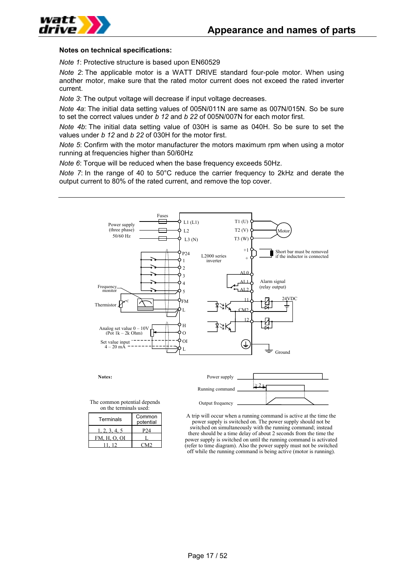

#### **Notes on technical specifications:**

*Note 1*: Protective structure is based upon EN60529

*Note 2*: The applicable motor is a WATT DRIVE standard four-pole motor. When using another motor, make sure that the rated motor current does not exceed the rated inverter current.

*Note 3*: The output voltage will decrease if input voltage decreases.

*Note 4a*: The initial data setting values of 005N/011N are same as 007N/015N. So be sure to set the correct values under *b 12* and *b 22* of 005N/007N for each motor first.

*Note 4b*: The initial data setting value of 030H is same as 040H. So be sure to set the values under *b 12* and *b 22* of 030H for the motor first.

*Note 5*: Confirm with the motor manufacturer the motors maximum rpm when using a motor running at frequencies higher than 50/60Hz

*Note 6*: Torque will be reduced when the base frequency exceeds 50Hz.

*Note 7*: In the range of 40 to 50°C reduce the carrier frequency to 2kHz and derate the output current to 80% of the rated current, and remove the top cover.



**Notes:**



The common potential depends on the terminals used:

| Terminals    | Common<br>potential |  |  |
|--------------|---------------------|--|--|
| , 2, 3, 4, 5 | P74                 |  |  |
| FM, H, O, OI |                     |  |  |
|              |                     |  |  |

A trip will occur when a running command is active at the time the power supply is switched on. The power supply should not be switched on simultaneously with the running command; instead there should be a time delay of about 2 seconds from the time the power supply is switched on until the running command is activated (refer to time diagram). Also the power supply must not be switched off while the running command is being active (motor is running).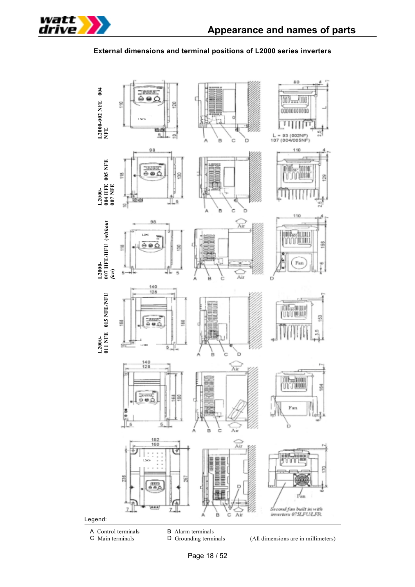

### **External dimensions and terminal positions of L2000 series inverters**



- 
- 
- A Control terminals<br>
C Main terminals<br>
D Grounding terminals<br>
D Grounding terminals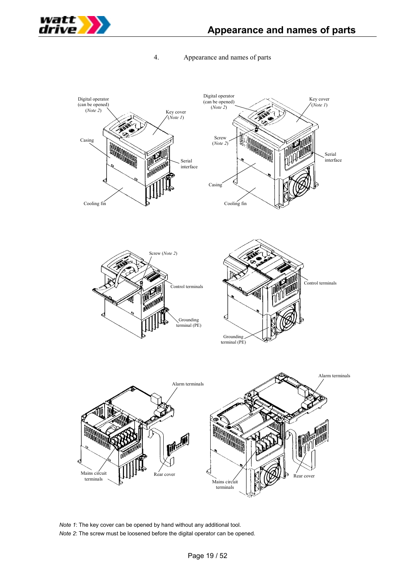

## 4. Appearance and names of parts



*Note 1*: The key cover can be opened by hand without any additional tool. *Note 2*: The screw must be loosened before the digital operator can be opened.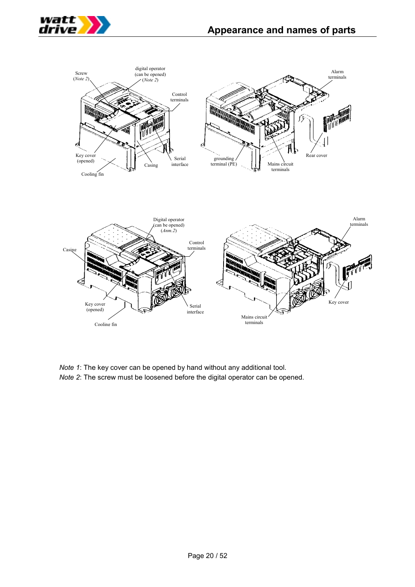



*Note 1*: The key cover can be opened by hand without any additional tool. *Note 2*: The screw must be loosened before the digital operator can be opened.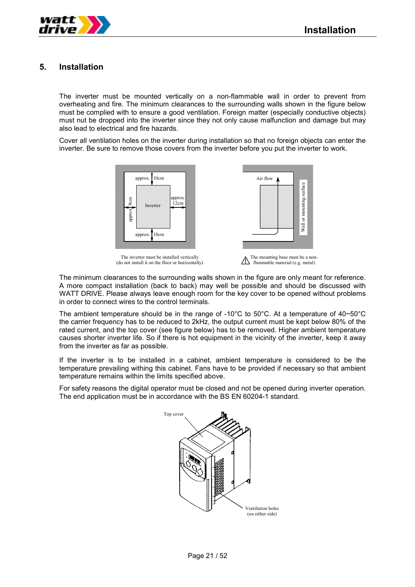

## **5. Installation**

The inverter must be mounted vertically on a non-flammable wall in order to prevent from overheating and fire. The minimum clearances to the surrounding walls shown in the figure below must be complied with to ensure a good ventilation. Foreign matter (especially conductive objects) must nut be dropped into the inverter since they not only cause malfunction and damage but may also lead to electrical and fire hazards.

Cover all ventilation holes on the inverter during installation so that no foreign objects can enter the inverter. Be sure to remove those covers from the inverter before you put the inverter to work.



The inverter must be installed vertically (do not install it on the floor or horizontally)



The mounting base must be a non- $\bigwedge$  flammable material (e.g. metal)

The minimum clearances to the surrounding walls shown in the figure are only meant for reference. A more compact installation (back to back) may well be possible and should be discussed with WATT DRIVE. Please always leave enough room for the key cover to be opened without problems in order to connect wires to the control terminals.

The ambient temperature should be in the range of -10°C to 50°C. At a temperature of 40~50°C the carrier frequency has to be reduced to 2kHz, the output current must be kept below 80% of the rated current, and the top cover (see figure below) has to be removed. Higher ambient temperature causes shorter inverter life. So if there is hot equipment in the vicinity of the inverter, keep it away from the inverter as far as possible.

If the inverter is to be installed in a cabinet, ambient temperature is considered to be the temperature prevailing withing this cabinet. Fans have to be provided if necessary so that ambient temperature remains within the limits specified above.

For safety reasons the digital operator must be closed and not be opened during inverter operation. The end application must be in accordance with the BS EN 60204-1 standard.

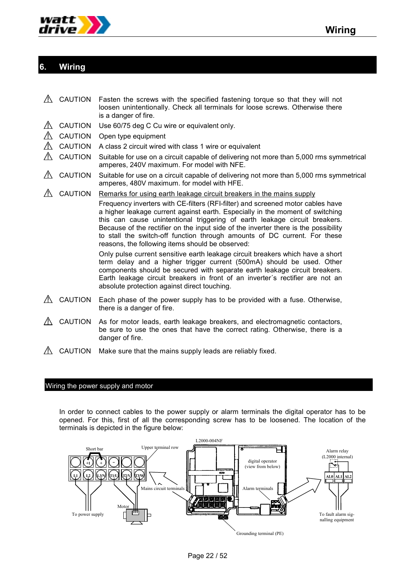

# **6. Wiring**

- $\triangle$  CAUTION Fasten the screws with the specified fastening torque so that they will not loosen unintentionally. Check all terminals for loose screws. Otherwise there is a danger of fire.
- $\triangle$  CAUTION Use 60/75 deg C Cu wire or equivalent only.
- CAUTION Open type equipment
- $\triangle$  CAUTION A class 2 circuit wired with class 1 wire or equivalent
- $\triangle$  CAUTION Suitable for use on a circuit capable of delivering not more than 5,000 rms symmetrical amperes, 240V maximum. For model with NFE.
- $\triangle$  CAUTION Suitable for use on a circuit capable of delivering not more than 5,000 rms symmetrical amperes, 480V maximum. for model with HFE.
- $\triangle$  CAUTION Remarks for using earth leakage circuit breakers in the mains supply

Frequency inverters with CE-filters (RFI-filter) and screened motor cables have a higher leakage current against earth. Especially in the moment of switching this can cause unintentional triggering of earth leakage circuit breakers. Because of the rectifier on the input side of the inverter there is the possibility to stall the switch-off function through amounts of DC current. For these reasons, the following items should be observed:

Only pulse current sensitive earth leakage circuit breakers which have a short term delay and a higher trigger current (500mA) should be used. Other components should be secured with separate earth leakage circuit breakers. Earth leakage circuit breakers in front of an inverter´s rectifier are not an absolute protection against direct touching.

- $\triangle$  CAUTION Each phase of the power supply has to be provided with a fuse. Otherwise, there is a danger of fire.
- $\triangle$  CAUTION As for motor leads, earth leakage breakers, and electromagnetic contactors, be sure to use the ones that have the correct rating. Otherwise, there is a danger of fire.
- $\Lambda$  CAUTION Make sure that the mains supply leads are reliably fixed.

#### Wiring the power supply and motor

In order to connect cables to the power supply or alarm terminals the digital operator has to be opened. For this, first of all the corresponding screw has to be loosened. The location of the terminals is depicted in the figure below:

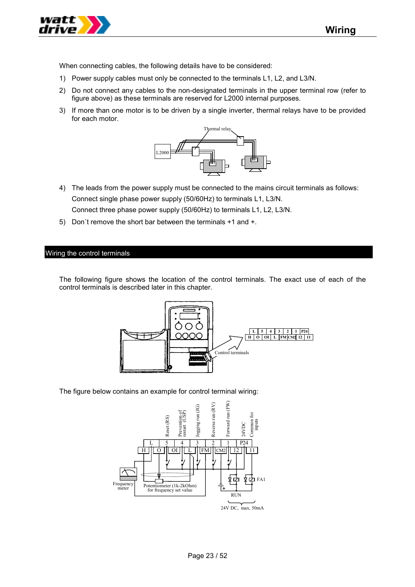When connecting cables, the following details have to be considered:

- 1) Power supply cables must only be connected to the terminals L1, L2, and L3/N.
- 2) Do not connect any cables to the non-designated terminals in the upper terminal row (refer to figure above) as these terminals are reserved for L2000 internal purposes.
- 3) If more than one motor is to be driven by a single inverter, thermal relays have to be provided for each motor.



- 4) The leads from the power supply must be connected to the mains circuit terminals as follows: Connect single phase power supply (50/60Hz) to terminals L1, L3/N. Connect three phase power supply (50/60Hz) to terminals L1, L2, L3/N.
- 5) Don´t remove the short bar between the terminals +1 and +.

#### Wiring the control terminals

The following figure shows the location of the control terminals. The exact use of each of the control terminals is described later in this chapter.



The figure below contains an example for control terminal wiring:

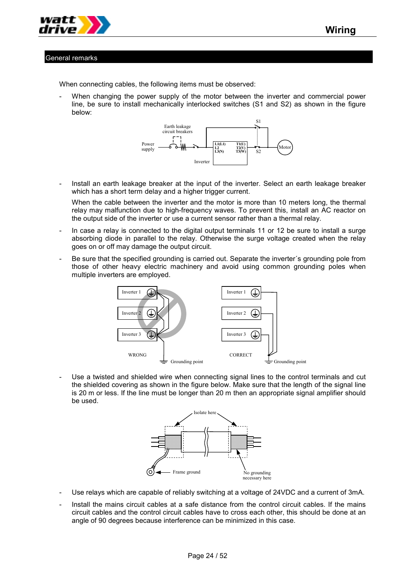

#### General remarks

When connecting cables, the following items must be observed:

When changing the power supply of the motor between the inverter and commercial power line, be sure to install mechanically interlocked switches (S1 and S2) as shown in the figure below:



- Install an earth leakage breaker at the input of the inverter. Select an earth leakage breaker which has a short term delay and a higher trigger current.

When the cable between the inverter and the motor is more than 10 meters long, the thermal relay may malfunction due to high-frequency waves. To prevent this, install an AC reactor on the output side of the inverter or use a current sensor rather than a thermal relay.

- In case a relay is connected to the digital output terminals 11 or 12 be sure to install a surge absorbing diode in parallel to the relay. Otherwise the surge voltage created when the relay goes on or off may damage the output circuit.
- Be sure that the specified grounding is carried out. Separate the inverter's grounding pole from those of other heavy electric machinery and avoid using common grounding poles when multiple inverters are employed.



Use a twisted and shielded wire when connecting signal lines to the control terminals and cut the shielded covering as shown in the figure below. Make sure that the length of the signal line is 20 m or less. If the line must be longer than 20 m then an appropriate signal amplifier should be used.



- Use relays which are capable of reliably switching at a voltage of 24VDC and a current of 3mA.
- Install the mains circuit cables at a safe distance from the control circuit cables. If the mains circuit cables and the control circuit cables have to cross each other, this should be done at an angle of 90 degrees because interference can be minimized in this case.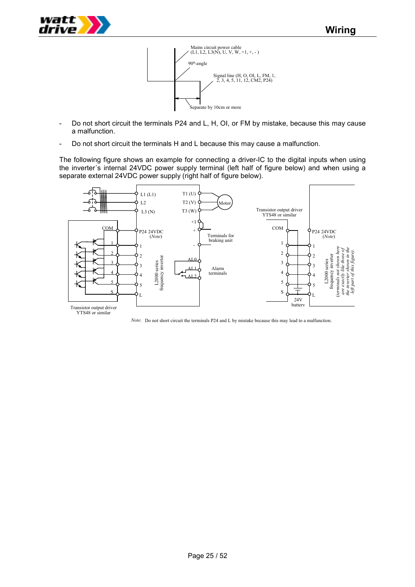

- Do not short circuit the terminals P24 and L, H, OI, or FM by mistake, because this may cause a malfunction.
- Do not short circuit the terminals H and L because this may cause a malfunction.

The following figure shows an example for connecting a driver-IC to the digital inputs when using the inverter´s internal 24VDC power supply terminal (left half of figure below) and when using a separate external 24VDC power supply (right half of figure below).



*Note*: Do not short circuit the terminals P24 and L by mistake because this may lead to a malfunction.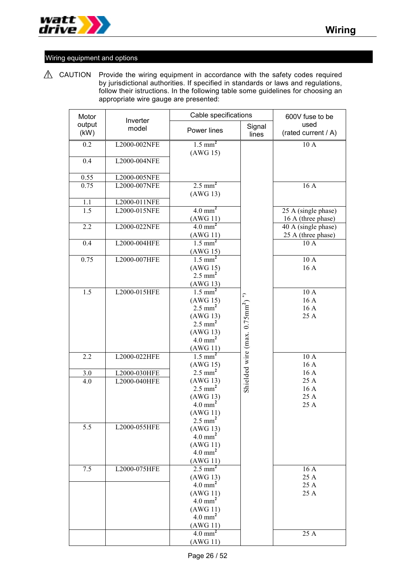

# Wiring equipment and options

 $\triangle$  CAUTION Provide the wiring equipment in accordance with the safety codes required by jurisdictional authorities. If specified in standards or laws and regulations, follow their istructions. In the following table some guidelines for choosing an appropriate wire gauge are presented:

| Motor            | Inverter                     | Cable specifications              | 600V fuse to be                                        |                             |
|------------------|------------------------------|-----------------------------------|--------------------------------------------------------|-----------------------------|
| output<br>(kW)   | model                        | Power lines                       | Signal<br>lines                                        | used<br>(rated current / A) |
| 0.2              | L2000-002NFE                 | $1.5$ mm <sup>2</sup>             |                                                        | 10 A                        |
|                  |                              | (AWG 15)                          |                                                        |                             |
| 0.4              | L2000-004NFE                 |                                   |                                                        |                             |
| 0.55             | L2000-005NFE                 |                                   |                                                        |                             |
| 0.75             | L2000-007NFE                 | $2.5 \text{ mm}^2$                |                                                        | 16 A                        |
|                  |                              | (AWG13)                           |                                                        |                             |
| 1.1<br>1.5       | L2000-011NFE<br>L2000-015NFE | $4.0$ mm <sup>2</sup>             |                                                        | 25 A (single phase)         |
|                  |                              | (AWG 11)                          |                                                        | 16 A (three phase)          |
| 2.2              | L2000-022NFE                 | $4.0$ mm <sup>2</sup>             |                                                        | 40 A (single phase)         |
|                  |                              | (AWG11)                           |                                                        | 25 A (three phase)          |
| 0.4              | L2000-004HFE                 | $1.5$ mm <sup>2</sup>             |                                                        | 10 A                        |
| 0.75             | L2000-007HFE                 | (AWG 15)<br>$1.5$ mm <sup>2</sup> |                                                        | 10A                         |
|                  |                              | (AWG 15)                          |                                                        | 16 A                        |
|                  |                              | $2.5$ mm <sup>2</sup>             |                                                        |                             |
|                  |                              | (AWG13)                           |                                                        |                             |
| $\overline{1.5}$ | L2000-015HFE                 | $1.5 \text{ mm}^2$                |                                                        | 10A                         |
|                  |                              | (AWG 15)<br>$2.5$ mm <sup>2</sup> |                                                        | 16 A<br>16 A                |
|                  |                              | (AWG13)                           |                                                        | 25 A                        |
|                  |                              | $2.5$ mm <sup>2</sup>             |                                                        |                             |
|                  |                              | (AWG13)                           |                                                        |                             |
|                  |                              | $4.0$ mm <sup>2</sup>             |                                                        |                             |
| 2.2              | L2000-022HFE                 | (AWG11)<br>$1.5$ mm <sup>2</sup>  | Shielded wire (max. 0.75mm <sup>2</sup> ) <sup>*</sup> | 10 A                        |
|                  |                              | (AWG 15)                          |                                                        | 16 A                        |
| 3.0              | L2000-030HFE                 | $2.5$ mm <sup>2</sup>             |                                                        | 16 A                        |
| 4.0              | L2000-040HFE                 | (AWG13)                           |                                                        | 25 A                        |
|                  |                              | $2.5$ mm <sup>2</sup>             |                                                        | 16 A<br>25 A                |
|                  |                              | (AWG13)<br>$4.0$ mm <sup>2</sup>  |                                                        | 25 A                        |
|                  |                              | (AWG11)                           |                                                        |                             |
|                  |                              | $2.5 \text{ mm}^2$                |                                                        |                             |
| 5.5              | L2000-055HFE                 | (AWG13)                           |                                                        |                             |
|                  |                              | $4.0$ mm <sup>2</sup><br>(AWG11)  |                                                        |                             |
|                  |                              | $4.0$ mm <sup>2</sup>             |                                                        |                             |
|                  |                              | (AWG11)                           |                                                        |                             |
| 7.5              | L2000-075HFE                 | $2.5 \text{ mm}^2$                |                                                        | 16A                         |
|                  |                              | (AWG13)<br>$4.0$ mm <sup>2</sup>  |                                                        | 25 A                        |
|                  |                              | (AWG11)                           |                                                        | 25 A<br>25 A                |
|                  |                              | $4.0$ mm <sup>2</sup>             |                                                        |                             |
|                  |                              | (AWG 11)                          |                                                        |                             |
|                  |                              | $4.0$ mm <sup>2</sup>             |                                                        |                             |
|                  |                              | (AWG11)<br>$4.0$ mm <sup>2</sup>  |                                                        |                             |
|                  |                              | (AWG11)                           |                                                        | 25 A                        |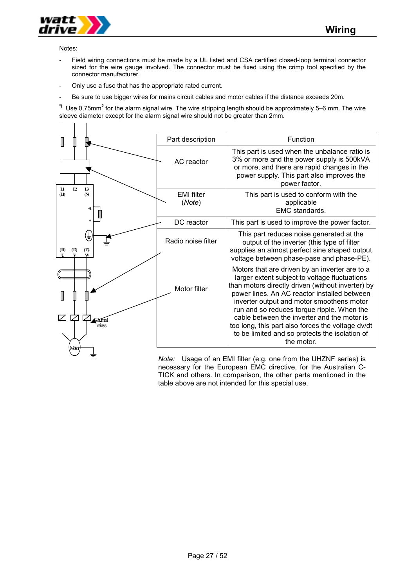

Notes:

 $\mathbf{I}$  $\Box$  $\overline{\phantom{a}}$ 

- Field wiring connections must be made by a UL listed and CSA certified closed-loop terminal connector sized for the wire gauge involved. The connector must be fixed using the crimp tool specified by the connector manufacturer.
- Only use a fuse that has the appropriate rated current.
- Be sure to use bigger wires for mains circuit cables and motor cables if the distance exceeds 20m.

**\*)** Use 0,75mm**<sup>2</sup>** for the alarm signal wire. The wire stripping length should be approximately 5–6 mm. The wire sleeve diameter except for the alarm signal wire should not be greater than 2mm.

|                                             | Part description            | Function                                                                                                                                                                                                                                                                                                                                                                                                                                                            |
|---------------------------------------------|-----------------------------|---------------------------------------------------------------------------------------------------------------------------------------------------------------------------------------------------------------------------------------------------------------------------------------------------------------------------------------------------------------------------------------------------------------------------------------------------------------------|
| L <sub>2</sub><br>$_{11}$<br>I <sub>3</sub> | AC reactor                  | This part is used when the unbalance ratio is<br>3% or more and the power supply is 500kVA<br>or more, and there are rapid changes in the<br>power supply. This part also improves the<br>power factor.                                                                                                                                                                                                                                                             |
| $\mathbf{u}$<br>$\mathbf{\Omega}$<br>$+1$   | <b>EMI</b> filter<br>(Note) | This part is used to conform with the<br>applicable<br>EMC standards.                                                                                                                                                                                                                                                                                                                                                                                               |
|                                             | DC reactor                  | This part is used to improve the power factor.                                                                                                                                                                                                                                                                                                                                                                                                                      |
| ÷<br>(13)<br>(12)<br>(II)<br>W              | Radio noise filter          | This part reduces noise generated at the<br>output of the inverter (this type of filter<br>supplies an almost perfect sine shaped output<br>voltage between phase-pase and phase-PE).                                                                                                                                                                                                                                                                               |
| Humal<br>relays                             | Motor filter                | Motors that are driven by an inverter are to a<br>larger extent subject to voltage fluctuations<br>than motors directly driven (without inverter) by<br>power lines. An AC reactor installed between<br>inverter output and motor smoothens motor<br>run and so reduces torque ripple. When the<br>cable between the inverter and the motor is<br>too long, this part also forces the voltage dv/dt<br>to be limited and so protects the isolation of<br>the motor. |
| Mtar                                        |                             |                                                                                                                                                                                                                                                                                                                                                                                                                                                                     |

*Note:* Usage of an EMI filter (e.g. one from the UHZNF series) is necessary for the European EMC directive, for the Australian C-TICK and others. In comparison, the other parts mentioned in the table above are not intended for this special use.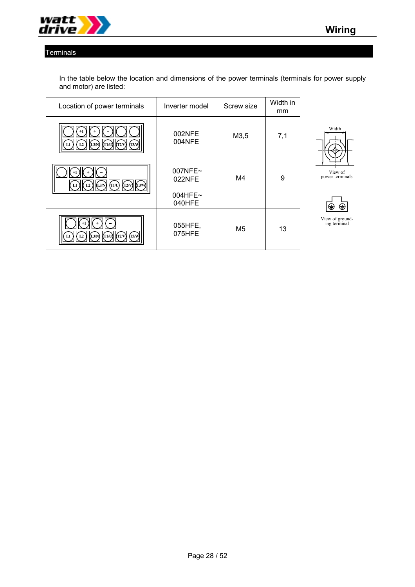

# **Terminals**

In the table below the location and dimensions of the power terminals (terminals for power supply and motor) are listed:

| Location of power terminals                    | Inverter model                            | Screw size     | Width in<br>mm |
|------------------------------------------------|-------------------------------------------|----------------|----------------|
| (T1/U)<br>$(T2/V)$ $(T3/W)$<br>(L3/N)<br>L2    | 002NFE<br>004NFE                          | M3,5           | 7,1            |
| L3/N<br>(T1/U)<br>L2<br>(T3/N)<br>(T2/V)<br>L1 | 007NFE~<br>022NFE<br>$004$ HFE~<br>040HFE | M4             | 9              |
| $+1$<br>(T3/W)<br>(T2/V)<br>T1/U               | 055HFE,<br>075HFE                         | M <sub>5</sub> | 13             |





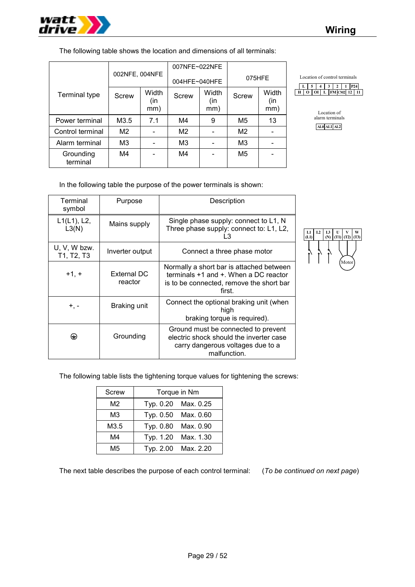

The following table shows the location and dimensions of all terminals:

|                       |                |                     | 007NFE~022NFE  |                     |                |                     |
|-----------------------|----------------|---------------------|----------------|---------------------|----------------|---------------------|
|                       | 002NFE, 004NFE |                     | 004HFE~040HFE  |                     | 075HFE         |                     |
| <b>Terminal type</b>  | Screw          | Width<br>(in<br>mm) | Screw          | Width<br>(in<br>mm) | Screw          | Width<br>(in<br>mm) |
| Power terminal        | M3.5           | 7.1                 | M4             | 9                   | M5             | 13                  |
| Control terminal      | M <sub>2</sub> |                     | M <sub>2</sub> |                     | M <sub>2</sub> |                     |
| Alarm terminal        | M <sub>3</sub> |                     | M <sub>3</sub> |                     | M <sub>3</sub> |                     |
| Grounding<br>terminal | M4             |                     | M4             |                     | M <sub>5</sub> |                     |



Location of alarm terminals **AL0 AL1 AL2**

In the following table the purpose of the power terminals is shown:

| Terminal<br>symbol         | Purpose                | Description                                                                                                                                  |
|----------------------------|------------------------|----------------------------------------------------------------------------------------------------------------------------------------------|
| $L1(L1)$ , L2,<br>L3(N)    | Mains supply           | Single phase supply: connect to L1, N<br>Three phase supply: connect to: L1, L2,<br>L3                                                       |
| U, V, W bzw.<br>T1, T2, T3 | Inverter output        | Connect a three phase motor                                                                                                                  |
| $+1, +$                    | External DC<br>reactor | Normally a short bar is attached between<br>terminals $+1$ and $+$ . When a DC reactor<br>is to be connected, remove the short bar<br>first. |
| +, -                       | Braking unit           | Connect the optional braking unit (when<br>high<br>braking torque is required).                                                              |
| ⊕                          | Grounding              | Ground must be connected to prevent<br>electric shock should the inverter case<br>carry dangerous voltages due to a<br>malfunction.          |



The following table lists the tightening torque values for tightening the screws:

|           | Torque in Nm        |
|-----------|---------------------|
|           | Typ. 0.20 Max. 0.25 |
|           | Typ. 0.50 Max. 0.60 |
| Typ. 0.80 | Max. 0.90           |
| Typ. 1.20 | Max. 1.30           |
|           | Typ. 2.00 Max. 2.20 |
|           |                     |

The next table describes the purpose of each control terminal: (*To be continued on next page*)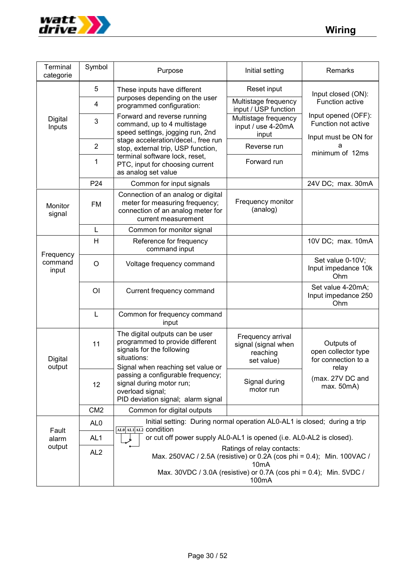

| Terminal<br>categorie         | Symbol          | Purpose                                                                                                                                                                   | Initial setting                                                    | Remarks                                                  |  |  |
|-------------------------------|-----------------|---------------------------------------------------------------------------------------------------------------------------------------------------------------------------|--------------------------------------------------------------------|----------------------------------------------------------|--|--|
|                               | 5               | These inputs have different                                                                                                                                               | Reset input                                                        | Input closed (ON):                                       |  |  |
|                               | 4               | purposes depending on the user<br>programmed configuration:                                                                                                               | Multistage frequency<br>input / USP function                       | Function active                                          |  |  |
| Digital<br>Inputs             | 3               | Forward and reverse running<br>command, up to 4 multistage<br>speed settings, jogging run, 2nd                                                                            | Multistage frequency<br>input / use 4-20mA<br>input                | Input opened (OFF):<br>Function not active               |  |  |
|                               | $\overline{2}$  | stage acceleration/decel., free run<br>stop, external trip, USP function,                                                                                                 | Reverse run                                                        | Input must be ON for<br>а<br>minimum of 12ms             |  |  |
|                               | 1               | terminal software lock, reset,<br>PTC, input for choosing current<br>as analog set value                                                                                  | Forward run                                                        |                                                          |  |  |
|                               | P24             | Common for input signals                                                                                                                                                  |                                                                    | 24V DC; max. 30mA                                        |  |  |
| Monitor<br>signal             | <b>FM</b>       | Connection of an analog or digital<br>meter for measuring frequency;<br>connection of an analog meter for<br>current measurement                                          | Frequency monitor<br>(analog)                                      |                                                          |  |  |
|                               | L               | Common for monitor signal                                                                                                                                                 |                                                                    |                                                          |  |  |
|                               | H               | Reference for frequency<br>command input                                                                                                                                  |                                                                    | 10V DC; max. 10mA                                        |  |  |
| Frequency<br>command<br>input | $\circ$         | Voltage frequency command                                                                                                                                                 |                                                                    | Set value 0-10V;<br>Input impedance 10k<br>Ohm           |  |  |
|                               | O <sub>l</sub>  | Current frequency command                                                                                                                                                 |                                                                    | Set value 4-20mA;<br>Input impedance 250<br>Ohm          |  |  |
|                               | $\mathsf{L}$    | Common for frequency command<br>input                                                                                                                                     |                                                                    |                                                          |  |  |
| Digital                       | 11              | The digital outputs can be user<br>programmed to provide different<br>signals for the following<br>situations:                                                            | Frequency arrival<br>signal (signal when<br>reaching<br>set value) | Outputs of<br>open collector type<br>for connection to a |  |  |
| output                        | 12              | Signal when reaching set value or<br>passing a configurable frequency;<br>signal during motor run;<br>overload signal;<br>PID deviation signal; alarm signal              | Signal during<br>motor run                                         | relay<br>(max. 27V DC and<br>max. 50mA)                  |  |  |
|                               | CM <sub>2</sub> | Common for digital outputs                                                                                                                                                |                                                                    |                                                          |  |  |
| Fault                         | AL <sub>0</sub> | Initial setting: During normal operation AL0-AL1 is closed; during a trip<br>ALO ALI AL2 CONdition                                                                        |                                                                    |                                                          |  |  |
| alarm                         | AL <sub>1</sub> | or cut off power supply AL0-AL1 is opened (i.e. AL0-AL2 is closed).                                                                                                       |                                                                    |                                                          |  |  |
| output                        | AL <sub>2</sub> | Ratings of relay contacts:<br>Max. 250VAC / 2.5A (resistive) or 0.2A (cos phi = 0.4); Min. 100VAC /<br>Max. 30VDC / 3.0A (resistive) or 0.7A (cos phi = 0.4); Min. 5VDC / |                                                                    |                                                          |  |  |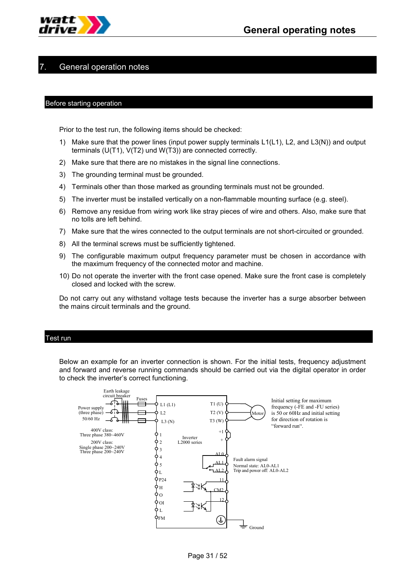

# General operation notes

#### Before starting operation

Prior to the test run, the following items should be checked:

- 1) Make sure that the power lines (input power supply terminals L1(L1), L2, and L3(N)) and output terminals (U(T1), V(T2) und W(T3)) are connected correctly.
- 2) Make sure that there are no mistakes in the signal line connections.
- 3) The grounding terminal must be grounded.
- 4) Terminals other than those marked as grounding terminals must not be grounded.
- 5) The inverter must be installed vertically on a non-flammable mounting surface (e.g. steel).
- 6) Remove any residue from wiring work like stray pieces of wire and others. Also, make sure that no tolls are left behind.
- 7) Make sure that the wires connected to the output terminals are not short-circuited or grounded.
- 8) All the terminal screws must be sufficiently tightened.
- 9) The configurable maximum output frequency parameter must be chosen in accordance with the maximum frequency of the connected motor and machine.
- 10) Do not operate the inverter with the front case opened. Make sure the front case is completely closed and locked with the screw.

Do not carry out any withstand voltage tests because the inverter has a surge absorber between the mains circuit terminals and the ground.

#### Test run

Below an example for an inverter connection is shown. For the initial tests, frequency adjustment and forward and reverse running commands should be carried out via the digital operator in order to check the inverter's correct functioning.

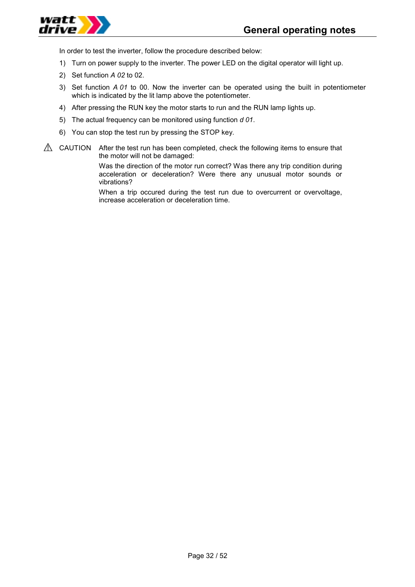

In order to test the inverter, follow the procedure described below:

- 1) Turn on power supply to the inverter. The power LED on the digital operator will light up.
- 2) Set function *A 02* to 02.
- 3) Set function *A 01* to 00. Now the inverter can be operated using the built in potentiometer which is indicated by the lit lamp above the potentiometer.
- 4) After pressing the RUN key the motor starts to run and the RUN lamp lights up.
- 5) The actual frequency can be monitored using function *d 01*.
- 6) You can stop the test run by pressing the STOP key.
- $\triangle$  CAUTION After the test run has been completed, check the following items to ensure that the motor will not be damaged:

Was the direction of the motor run correct? Was there any trip condition during acceleration or deceleration? Were there any unusual motor sounds or vibrations?

When a trip occured during the test run due to overcurrent or overvoltage, increase acceleration or deceleration time.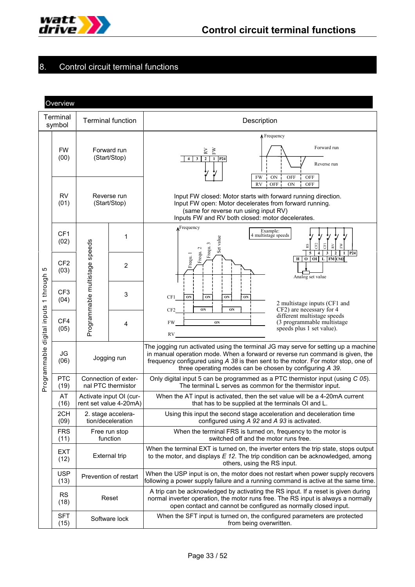

# 8. Control circuit terminal functions

| Overview                         |                         |                                |                                                   |                                                                                                                                                                                                                                                                                                                      |  |  |  |  |  |
|----------------------------------|-------------------------|--------------------------------|---------------------------------------------------|----------------------------------------------------------------------------------------------------------------------------------------------------------------------------------------------------------------------------------------------------------------------------------------------------------------------|--|--|--|--|--|
|                                  | Terminal<br>symbol      |                                | <b>Terminal function</b>                          | Description                                                                                                                                                                                                                                                                                                          |  |  |  |  |  |
|                                  | <b>FW</b><br>(00)       | Forward run<br>(Start/Stop)    |                                                   | $\Lambda$ Frequency<br>Forward run<br>$\stackrel{\textstyle{>}}{\textstyle{\geq} }$<br>ÈW<br>$\mathbf{2}$<br>1 P <sub>24</sub><br>4<br>$\mathbf{3}$<br>Reverse run<br>FW<br>OFF<br>OFF<br><b>ON</b>                                                                                                                  |  |  |  |  |  |
|                                  | <b>RV</b><br>(01)       |                                | Reverse run<br>(Start/Stop)                       | <b>OFF</b><br><b>RV</b><br>ON<br>OFF<br>Input FW closed: Motor starts with forward running direction.<br>Input FW open: Motor decelerates from forward running.<br>(same for reverse run using input RV)<br>Inputs FW and RV both closed: motor decelerates.                                                         |  |  |  |  |  |
|                                  | CF1<br>(02)             |                                | 1                                                 | $\Lambda$ Frequency<br>Example:<br>4 multistage speeds<br>Set value<br>Frequ. 3<br>G <sub>2</sub><br>FW<br>RV<br>5<br>$\mathbf{3}$<br>$\mathbf{2}$<br>1 P <sub>24</sub><br>$\overline{4}$<br>5                                                                                                                       |  |  |  |  |  |
| Ю<br>1 through<br>digital inputs | CF <sub>2</sub><br>(03) | Programmable multistage speeds | $\overline{c}$                                    | Frequ. 2<br>Frequ. 1<br>L FM CM2<br>$\mathbf{o}$<br>O <sub>I</sub><br>H<br>Analog set value                                                                                                                                                                                                                          |  |  |  |  |  |
|                                  | CF <sub>3</sub><br>(04) |                                | 3                                                 | CF1<br>ON<br>ON<br>ON<br>ON<br>2 multistage inputs (CF1 and<br>CF2) are necessary for 4<br>CF <sub>2</sub><br>ON<br>ON                                                                                                                                                                                               |  |  |  |  |  |
|                                  | CF4<br>(05)             |                                | 4                                                 | different multistage speeds<br>(3 programmable multistage)<br>FW<br>ON<br>speeds plus 1 set value).<br>RV                                                                                                                                                                                                            |  |  |  |  |  |
| Programmable                     | JG<br>(06)              | Jogging run                    |                                                   | The jogging run activated using the terminal JG may serve for setting up a machine<br>in manual operation mode. When a forward or reverse run command is given, the<br>frequency configured using A 38 is then sent to the motor. For motor stop, one of<br>three operating modes can be chosen by configuring A 39. |  |  |  |  |  |
|                                  | <b>PTC</b><br>(19)      |                                | Connection of exter-<br>nal PTC thermistor        | Only digital input 5 can be programmed as a PTC thermistor input (using C 05).<br>The terminal L serves as common for the thermistor input.                                                                                                                                                                          |  |  |  |  |  |
|                                  | AT<br>(16)              |                                | Activate input OI (cur-<br>rent set value 4-20mA) | When the AT input is activated, then the set value will be a 4-20mA current<br>that has to be supplied at the terminals OI and L.                                                                                                                                                                                    |  |  |  |  |  |
|                                  | 2CH<br>(09)             |                                | 2. stage accelera-<br>tion/deceleration           | Using this input the second stage acceleration and deceleration time<br>configured using A 92 and A 93 is activated.                                                                                                                                                                                                 |  |  |  |  |  |
|                                  | <b>FRS</b><br>(11)      |                                | Free run stop<br>function                         | When the terminal FRS is turned on, frequency to the motor is<br>switched off and the motor runs free.                                                                                                                                                                                                               |  |  |  |  |  |
|                                  | EXT<br>(12)             | External trip                  |                                                   | When the terminal EXT is turned on, the inverter enters the trip state, stops output<br>to the motor, and displays $E$ 12. The trip condition can be acknowledged, among<br>others, using the RS input.                                                                                                              |  |  |  |  |  |
|                                  | <b>USP</b><br>(13)      |                                | Prevention of restart                             | When the USP input is on, the motor does not restart when power supply recovers<br>following a power supply failure and a running command is active at the same time.                                                                                                                                                |  |  |  |  |  |
|                                  | <b>RS</b><br>(18)       |                                | Reset                                             | A trip can be acknowledged by activating the RS input. If a reset is given during<br>normal inverter operation, the motor runs free. The RS input is always a normally<br>open contact and cannot be configured as normally closed input.                                                                            |  |  |  |  |  |
|                                  | <b>SFT</b><br>(15)      |                                | Software lock                                     | When the SFT input is turned on, the configured parameters are protected<br>from being overwritten.                                                                                                                                                                                                                  |  |  |  |  |  |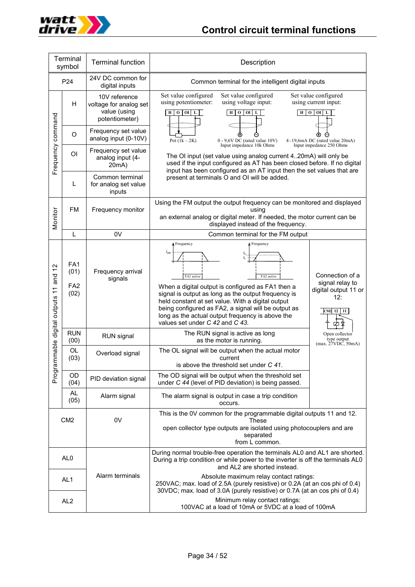

| Terminal<br>symbol                           |                                                    | <b>Terminal function</b>                                                                                                                                                                                                                                                                     | Description                                                                                                                                                                                                                                                                                                                                                                                                             |                                                                                    |  |  |  |
|----------------------------------------------|----------------------------------------------------|----------------------------------------------------------------------------------------------------------------------------------------------------------------------------------------------------------------------------------------------------------------------------------------------|-------------------------------------------------------------------------------------------------------------------------------------------------------------------------------------------------------------------------------------------------------------------------------------------------------------------------------------------------------------------------------------------------------------------------|------------------------------------------------------------------------------------|--|--|--|
|                                              | P24                                                | 24V DC common for<br>digital inputs                                                                                                                                                                                                                                                          | Common terminal for the intelligent digital inputs                                                                                                                                                                                                                                                                                                                                                                      |                                                                                    |  |  |  |
|                                              | H                                                  | Set value configured<br>Set value configured<br>Set value configured<br>10V reference<br>using voltage input:<br>using potentiometer:<br>using current input:<br>voltage for analog set<br>value (using<br>$\overline{0}$ or<br>H   0   0I   L<br>H   0   0I   L<br>L<br>H<br>potentiometer) |                                                                                                                                                                                                                                                                                                                                                                                                                         |                                                                                    |  |  |  |
|                                              | $\circ$                                            | Frequency set value<br>analog input (0-10V)                                                                                                                                                                                                                                                  | Pot $(1k-2K)$<br>$0 - 9,6V$ DC (rated value 10V)<br>4-19,6mA DC (rated value 20mA)                                                                                                                                                                                                                                                                                                                                      |                                                                                    |  |  |  |
| Frequency command                            | OI                                                 | Frequency set value<br>analog input (4-<br>20mA)                                                                                                                                                                                                                                             | Input impedance 10k Ohms<br>Input impedance 250 Ohms<br>The OI input (set value using analog current 420mA) will only be<br>used if the input configured as AT has been closed before. If no digital<br>input has been configured as an AT input then the set values that are                                                                                                                                           |                                                                                    |  |  |  |
|                                              | L                                                  | Common terminal<br>for analog set value<br>inputs                                                                                                                                                                                                                                            | present at terminals O and OI will be added.                                                                                                                                                                                                                                                                                                                                                                            |                                                                                    |  |  |  |
| Monitor                                      | <b>FM</b><br>Frequency monitor                     |                                                                                                                                                                                                                                                                                              | Using the FM output the output frequency can be monitored and displayed<br>using<br>an external analog or digital meter. If needed, the motor current can be<br>displayed instead of the frequency.                                                                                                                                                                                                                     |                                                                                    |  |  |  |
|                                              | L                                                  | 0V                                                                                                                                                                                                                                                                                           | Common terminal for the FM output                                                                                                                                                                                                                                                                                                                                                                                       |                                                                                    |  |  |  |
| $\tilde{c}$<br>mmable digital outputs 11 and | FA <sub>1</sub><br>(01)<br>FA <sub>2</sub><br>(02) | Frequency arrival<br>signals                                                                                                                                                                                                                                                                 | <b>A</b> Frequency<br><b>A</b> Frequency<br>$f_{\rm{sol}}$<br>$f_2$<br>$f_1$<br>FA2 active<br>FA1 active<br>When a digital output is configured as FA1 then a<br>signal is output as long as the output frequency is<br>held constant at set value. With a digital output<br>being configured as FA2, a signal will be output as<br>long as the actual output frequency is above the<br>values set under C 42 and C 43. | Connection of a<br>signal relay to<br>digital output 11 or<br>12:<br>CM2 $12$   11 |  |  |  |
|                                              | <b>RUN</b><br>(00)                                 | RUN signal                                                                                                                                                                                                                                                                                   | The RUN signal is active as long<br>Open collector<br>type output<br>as the motor is running.<br>(max. 27VDC, 50mA)                                                                                                                                                                                                                                                                                                     |                                                                                    |  |  |  |
|                                              | OL<br>(03)                                         | Overload signal                                                                                                                                                                                                                                                                              | The OL signal will be output when the actual motor<br>current<br>is above the threshold set under C 41.                                                                                                                                                                                                                                                                                                                 |                                                                                    |  |  |  |
| Prograr                                      | OD<br>(04)                                         | PID deviation signal                                                                                                                                                                                                                                                                         | The OD signal will be output when the threshold set<br>under C 44 (level of PID deviation) is being passed.                                                                                                                                                                                                                                                                                                             |                                                                                    |  |  |  |
|                                              | AL<br>(05)                                         | Alarm signal                                                                                                                                                                                                                                                                                 | The alarm signal is output in case a trip condition<br>occurs.                                                                                                                                                                                                                                                                                                                                                          |                                                                                    |  |  |  |
| CM <sub>2</sub>                              |                                                    | 0V                                                                                                                                                                                                                                                                                           | This is the 0V common for the programmable digital outputs 11 and 12.<br>These<br>open collector type outputs are isolated using photocouplers and are<br>separated<br>from L common.                                                                                                                                                                                                                                   |                                                                                    |  |  |  |
|                                              | AL <sub>0</sub>                                    |                                                                                                                                                                                                                                                                                              | During normal trouble-free operation the terminals AL0 and AL1 are shorted.<br>During a trip condition or while power to the inverter is off the terminals AL0<br>and AL2 are shorted instead.                                                                                                                                                                                                                          |                                                                                    |  |  |  |
|                                              | AL <sub>1</sub>                                    | Alarm terminals                                                                                                                                                                                                                                                                              | Absolute maximum relay contact ratings:<br>250VAC; max. load of 2.5A (purely resistive) or 0.2A (at an cos phi of 0.4)<br>30VDC; max. load of 3.0A (purely resistive) or 0.7A (at an cos phi of 0.4)                                                                                                                                                                                                                    |                                                                                    |  |  |  |
|                                              | AL <sub>2</sub>                                    |                                                                                                                                                                                                                                                                                              | Minimum relay contact ratings:<br>100VAC at a load of 10mA or 5VDC at a load of 100mA                                                                                                                                                                                                                                                                                                                                   |                                                                                    |  |  |  |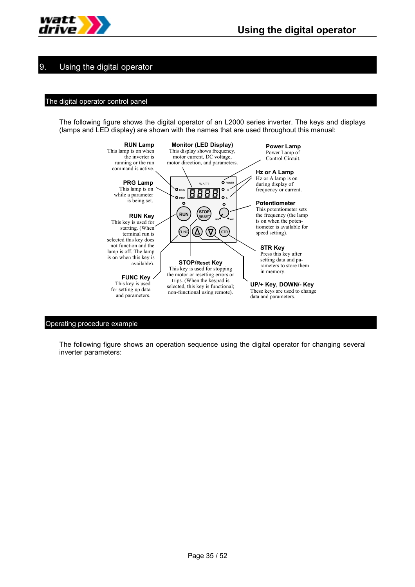

# 9. Using the digital operator

## The digital operator control panel

The following figure shows the digital operator of an L2000 series inverter. The keys and displays (lamps and LED display) are shown with the names that are used throughout this manual:



#### Operating procedure example

The following figure shows an operation sequence using the digital operator for changing several inverter parameters: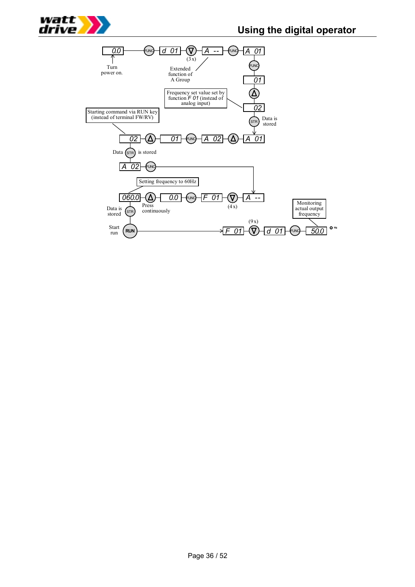

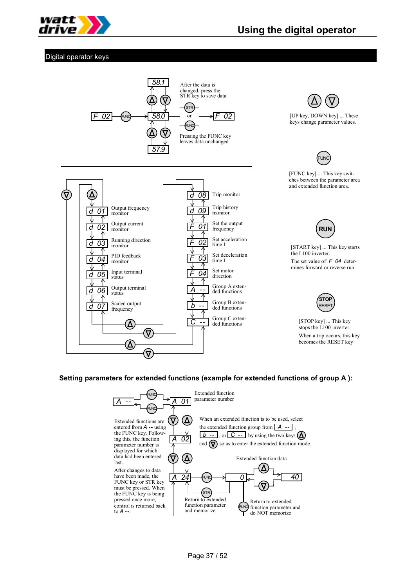

## Digital operator keys



**UN** [FUNC key] ... This key switches between the parameter area and extended function area.

[UP key, DOWN key] ... These keys change parameter values.



[START key] ... This key starts the L100 inverter. The set value of  $F$  04 determines forward or reverse run.



[STOP key] ... This key stops the L100 inverter. When a trip occurs, this key becomes the RESET key

## **Setting parameters for extended functions (example for extended functions of group A ):**

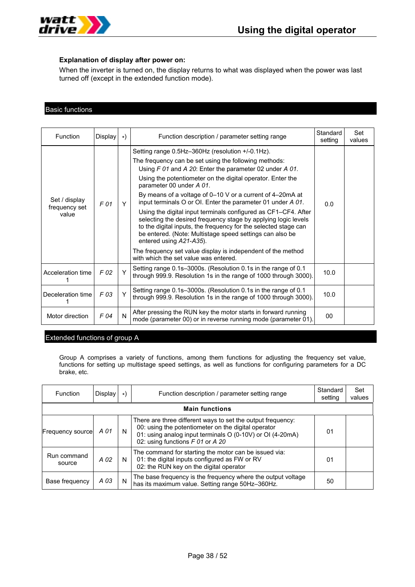

#### **Explanation of display after power on:**

When the inverter is turned on, the display returns to what was displayed when the power was last turned off (except in the extended function mode).

## Basic functions

| <b>Function</b>                         | Display | $\star$ | Function description / parameter setting range                                                                                                                                                                                                                                                                                                                                                                                                                                                                                                                                                                                                                                                                                                                                                         | Standard<br>setting | Set<br>values |
|-----------------------------------------|---------|---------|--------------------------------------------------------------------------------------------------------------------------------------------------------------------------------------------------------------------------------------------------------------------------------------------------------------------------------------------------------------------------------------------------------------------------------------------------------------------------------------------------------------------------------------------------------------------------------------------------------------------------------------------------------------------------------------------------------------------------------------------------------------------------------------------------------|---------------------|---------------|
| Set / display<br>frequency set<br>value | F 01    | Υ       | Setting range 0.5Hz-360Hz (resolution +/-0.1Hz).<br>The frequency can be set using the following methods:<br>Using F 01 and A 20: Enter the parameter 02 under A 01.<br>Using the potentiometer on the digital operator. Enter the<br>parameter 00 under A 01.<br>By means of a voltage of $0-10$ V or a current of $4-20$ mA at<br>input terminals O or OI. Enter the parameter 01 under A 01.<br>Using the digital input terminals configured as CF1–CF4. After<br>selecting the desired frequency stage by applying logic levels<br>to the digital inputs, the frequency for the selected stage can<br>be entered. (Note: Multistage speed settings can also be<br>entered using A21-A35).<br>The frequency set value display is independent of the method<br>with which the set value was entered. | 0.0                 |               |
| Acceleration time                       | F 02    | Y       | Setting range 0.1s-3000s. (Resolution 0.1s in the range of 0.1<br>through 999.9. Resolution 1s in the range of 1000 through 3000).                                                                                                                                                                                                                                                                                                                                                                                                                                                                                                                                                                                                                                                                     | 10.0                |               |
| Deceleration time l                     | F 03    | Y       | Setting range 0.1s-3000s. (Resolution 0.1s in the range of 0.1<br>through 999.9. Resolution 1s in the range of 1000 through 3000).                                                                                                                                                                                                                                                                                                                                                                                                                                                                                                                                                                                                                                                                     | 10.0                |               |
| Motor direction                         | F 04    | N       | After pressing the RUN key the motor starts in forward running<br>mode (parameter 00) or in reverse running mode (parameter 01).                                                                                                                                                                                                                                                                                                                                                                                                                                                                                                                                                                                                                                                                       | 00                  |               |

## Extended functions of group A

Group A comprises a variety of functions, among them functions for adjusting the frequency set value, functions for setting up multistage speed settings, as well as functions for configuring parameters for a DC brake, etc.

| Function              | Display               | $\star$ ) | Function description / parameter setting range                                                                                                                                                                      | Standard<br>setting | Set<br>values |  |  |
|-----------------------|-----------------------|-----------|---------------------------------------------------------------------------------------------------------------------------------------------------------------------------------------------------------------------|---------------------|---------------|--|--|
|                       | <b>Main functions</b> |           |                                                                                                                                                                                                                     |                     |               |  |  |
| Frequency source      | A 01                  | N         | There are three different ways to set the output frequency:<br>00: using the potentiometer on the digital operator<br>01: using analog input terminals O (0-10V) or OI (4-20mA)<br>02: using functions F 01 or A 20 | 01                  |               |  |  |
| Run command<br>source | A 02                  | N         | The command for starting the motor can be issued via:<br>01: the digital inputs configured as FW or RV<br>02: the RUN key on the digital operator                                                                   | 01                  |               |  |  |
| Base frequency        | A 03                  | N         | The base frequency is the frequency where the output voltage<br>has its maximum value. Setting range 50Hz-360Hz.                                                                                                    | 50                  |               |  |  |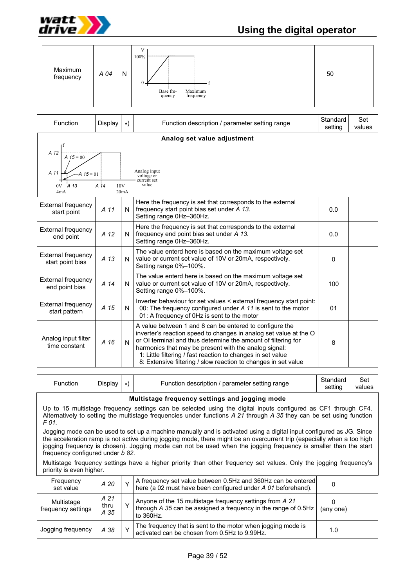

# **Using the digital operator**

| Maximum<br>frequency                                            | A 04             | N           | V<br>100%<br>Base fre-<br>Maximum<br>quency<br>frequency                                                                                                                                                                                                                                                                                                                                | 50                  |               |
|-----------------------------------------------------------------|------------------|-------------|-----------------------------------------------------------------------------------------------------------------------------------------------------------------------------------------------------------------------------------------------------------------------------------------------------------------------------------------------------------------------------------------|---------------------|---------------|
| Function                                                        | Display          | *)          | Function description / parameter setting range                                                                                                                                                                                                                                                                                                                                          | Standard<br>setting | Set<br>values |
|                                                                 |                  |             | Analog set value adjustment                                                                                                                                                                                                                                                                                                                                                             |                     |               |
| A 12<br>$A 15 = 00$<br>A 11<br>$A \, 15 = 01$<br>0V A 13<br>4mA | $A^{\dagger}$ 14 | 10V<br>20mA | Analog input<br>voltage or<br>current set<br>value                                                                                                                                                                                                                                                                                                                                      |                     |               |
| <b>External frequency</b><br>start point                        | A 11             | N           | Here the frequency is set that corresponds to the external<br>frequency start point bias set under A 13.<br>Setting range 0Hz-360Hz.                                                                                                                                                                                                                                                    | 0.0                 |               |
| <b>External frequency</b><br>end point                          | A 12             | N           | Here the frequency is set that corresponds to the external<br>frequency end point bias set under A 13.<br>Setting range 0Hz-360Hz.                                                                                                                                                                                                                                                      | 0.0                 |               |
| <b>External frequency</b><br>start point bias                   | A 13             | N           | The value enterd here is based on the maximum voltage set<br>value or current set value of 10V or 20mA, respectively.<br>Setting range 0%-100%.                                                                                                                                                                                                                                         | $\Omega$            |               |
| <b>External frequency</b><br>end point bias                     | A 14             | N           | The value enterd here is based on the maximum voltage set<br>value or current set value of 10V or 20mA, respectively.<br>Setting range 0%-100%.                                                                                                                                                                                                                                         | 100                 |               |
| External frequency<br>start pattern                             | A 15             | N           | Inverter behaviour for set values < external frequency start point:<br>00: The frequency configured under A 11 is sent to the motor<br>01: A frequency of 0Hz is sent to the motor                                                                                                                                                                                                      | 01                  |               |
| Analog input filter<br>time constant                            | A 16             | N           | A value between 1 and 8 can be entered to configure the<br>inverter's reaction speed to changes in analog set value at the O<br>or OI terminal and thus determine the amount of filtering for<br>harmonics that may be present with the analog signal:<br>1: Little filtering / fast reaction to changes in set value<br>8: Extensive filtering / slow reaction to changes in set value | 8                   |               |
|                                                                 |                  |             |                                                                                                                                                                                                                                                                                                                                                                                         |                     |               |

| Standard<br>Display<br>' parameter setting range<br>Function<br>Function description<br>settına | Set<br>values |
|-------------------------------------------------------------------------------------------------|---------------|
|-------------------------------------------------------------------------------------------------|---------------|

#### **Multistage frequency settings and jogging mode**

Up to 15 multistage frequency settings can be selected using the digital inputs configured as CF1 through CF4. Alternatively to setting the multistage frequencies under functions *A 21* through *A 35* they can be set using function *F 01.*

Jogging mode can be used to set up a machine manually and is activated using a digital input configured as JG. Since the acceleration ramp is not active during jogging mode, there might be an overcurrent trip (especially when a too high jogging frequency is chosen). Jogging mode can not be used when the jogging frequency is smaller than the start frequency configured under *b 82*.

Multistage frequency settings have a higher priority than other frequency set values. Only the jogging frequency's priority is even higher.

| Frequency<br>set value           | A 20                 | A frequency set value between 0.5Hz and 360Hz can be entered<br>here (a 02 must have been configured under A 01 beforehand).            |           |  |
|----------------------------------|----------------------|-----------------------------------------------------------------------------------------------------------------------------------------|-----------|--|
| Multistage<br>frequency settings | A 21<br>thru<br>A 35 | Anyone of the 15 multistage frequency settings from A 21<br>through A 35 can be assigned a frequency in the range of 0.5Hz<br>to 360Hz. | (any one) |  |
| Jogging frequency                | A 38                 | The frequency that is sent to the motor when jogging mode is<br>activated can be chosen from 0.5Hz to 9.99Hz.                           | 1.0       |  |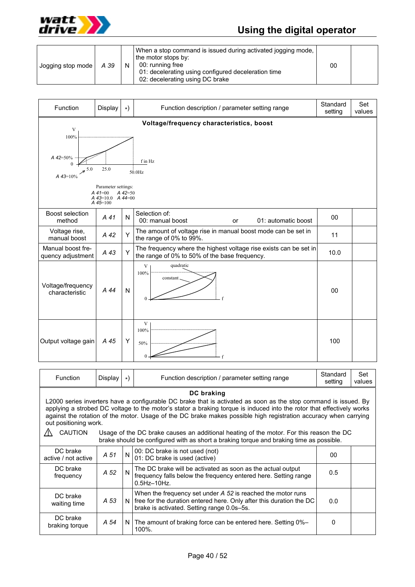

# **Using the digital operator**

| Jogging stop mode | A 39 | N. | When a stop command is issued during activated jogging mode.<br>the motor stops by:<br>00: running free<br>01: decelerating using configured deceleration time<br>02: decelerating using DC brake | 00 |  |
|-------------------|------|----|---------------------------------------------------------------------------------------------------------------------------------------------------------------------------------------------------|----|--|
|-------------------|------|----|---------------------------------------------------------------------------------------------------------------------------------------------------------------------------------------------------|----|--|

| Function                               | Display                                                                         | $\star$ ) | Function description / parameter setting range                                                                     | Standard<br>setting | Set<br>values |
|----------------------------------------|---------------------------------------------------------------------------------|-----------|--------------------------------------------------------------------------------------------------------------------|---------------------|---------------|
| V<br>100%<br>A 42=50%<br>$A$ 43=10%    | 25.0<br>Parameter settings:<br>$A$ 41=00<br>$A$ 43=10.0 $A$ 44=00<br>$A$ 45=100 | $A$ 42=50 | Voltage/frequency characteristics, boost<br>f in Hz<br>$50.0$ Hz                                                   |                     |               |
| Boost selection<br>method              | A 41                                                                            | N         | Selection of:<br>00: manual boost<br>01: automatic boost<br>or                                                     | 00                  |               |
| Voltage rise,<br>manual boost          | A 42                                                                            | Y         | The amount of voltage rise in manual boost mode can be set in<br>the range of 0% to 99%.                           | 11                  |               |
| Manual boost fre-<br>quency adjustment | A 43                                                                            | Y         | The frequency where the highest voltage rise exists can be set in<br>the range of 0% to 50% of the base frequency. | 10.0                |               |
| Voltage/frequency<br>characteristic    | A 44                                                                            | N         | quadratic<br>V<br>100%<br>constant                                                                                 | 00                  |               |
| Output voltage gain                    | A 45                                                                            | Y         | V<br>100%<br>50%                                                                                                   | 100                 |               |

| <b>Function</b>                                                                                                                                                                                                                                                                                                                                                                                     | Display                                                                                                                                                                            | $\star$ ) | Function description / parameter setting range                                                                                                                                   | Standard<br>setting | Set<br>values |  |
|-----------------------------------------------------------------------------------------------------------------------------------------------------------------------------------------------------------------------------------------------------------------------------------------------------------------------------------------------------------------------------------------------------|------------------------------------------------------------------------------------------------------------------------------------------------------------------------------------|-----------|----------------------------------------------------------------------------------------------------------------------------------------------------------------------------------|---------------------|---------------|--|
| DC braking<br>L2000 series inverters have a configurable DC brake that is activated as soon as the stop command is issued. By<br>applying a strobed DC voltage to the motor's stator a braking torque is induced into the rotor that effectively works<br>against the rotation of the motor. Usage of the DC brake makes possible high registration accuracy when carrying<br>out positioning work. |                                                                                                                                                                                    |           |                                                                                                                                                                                  |                     |               |  |
| <b>CAUTION</b>                                                                                                                                                                                                                                                                                                                                                                                      | Usage of the DC brake causes an additional heating of the motor. For this reason the DC<br>brake should be configured with as short a braking torque and braking time as possible. |           |                                                                                                                                                                                  |                     |               |  |
| DC brake<br>active / not active                                                                                                                                                                                                                                                                                                                                                                     | A 51                                                                                                                                                                               | N         | 00: DC brake is not used (not)<br>01: DC brake is used (active)                                                                                                                  | 00                  |               |  |
| DC brake<br>frequency                                                                                                                                                                                                                                                                                                                                                                               | A 52                                                                                                                                                                               | N         | The DC brake will be activated as soon as the actual output<br>frequency falls below the frequency entered here. Setting range<br>$0.5$ Hz $-10$ Hz.                             | 0.5                 |               |  |
| DC brake<br>waiting time                                                                                                                                                                                                                                                                                                                                                                            | A 53                                                                                                                                                                               | N         | When the frequency set under A 52 is reached the motor runs<br>free for the duration entered here. Only after this duration the DC<br>brake is activated. Setting range 0.0s-5s. | 0.0                 |               |  |
| DC brake<br>braking torque                                                                                                                                                                                                                                                                                                                                                                          | A 54                                                                                                                                                                               |           | N   The amount of braking force can be entered here. Setting 0%-<br>100%.                                                                                                        | 0                   |               |  |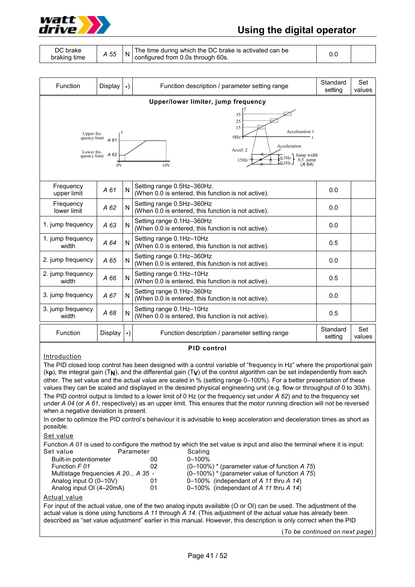

# **Using the digital operator**

| The time during which the DC brake is activated can be<br><b>DC</b> brake<br>A 55<br>configured from 0.0s through 60s.<br>braking time |  |  |
|----------------------------------------------------------------------------------------------------------------------------------------|--|--|
|----------------------------------------------------------------------------------------------------------------------------------------|--|--|

| Function                                                                                                                                                                                                                                                                                                               | Display | $\ast)$ | Function description / parameter setting range                                    | Standard<br>setting | Set<br>values |  |
|------------------------------------------------------------------------------------------------------------------------------------------------------------------------------------------------------------------------------------------------------------------------------------------------------------------------|---------|---------|-----------------------------------------------------------------------------------|---------------------|---------------|--|
|                                                                                                                                                                                                                                                                                                                        |         |         | Upper/lower limiter, jump frequency                                               |                     |               |  |
| 35<br>25<br>15<br>Acceleration 1<br>Upper frequency limit $\begin{bmatrix} 1 \\ 4 \\ 61 \end{bmatrix}$<br>0Hz-<br>Acceleration<br>Accel 2<br>Lower fre-<br>quency limit $\overrightarrow{A}$ 62<br>$\left\{\{0.5\,\text{Hz}\atop 0.5\,\text{Hz}}\right\}$ Jump width $\left(0.5\atop 0.64\right)$<br>15Hz<br>10V<br>0V |         |         |                                                                                   |                     |               |  |
| Frequency<br>upper limit                                                                                                                                                                                                                                                                                               | A 61    | N       | Setting range 0.5Hz-360Hz.<br>(When 0.0 is entered, this function is not active). | 0.0                 |               |  |
| Frequency<br>lower limit                                                                                                                                                                                                                                                                                               | A 62    | N       | Setting range 0.5Hz-360Hz<br>(When 0.0 is entered, this function is not active).  | 0.0                 |               |  |
| 1. jump frequency                                                                                                                                                                                                                                                                                                      | A 63    | N       | Setting range 0.1Hz-360Hz<br>(When 0.0 is entered, this function is not active).  | 0.0                 |               |  |
| 1. jump frequency<br>width                                                                                                                                                                                                                                                                                             | A 64    | N       | Setting range 0.1Hz-10Hz<br>(When 0.0 is entered, this function is not active).   | 0.5                 |               |  |
| 2. jump frequency                                                                                                                                                                                                                                                                                                      | A 65    | N       | Setting range 0.1Hz-360Hz<br>(When 0.0 is entered, this function is not active).  | 0.0                 |               |  |
| 2. jump frequency<br>width                                                                                                                                                                                                                                                                                             | A 66    | N       | Setting range 0.1Hz-10Hz<br>(When 0.0 is entered, this function is not active).   | 0.5                 |               |  |
| 3. jump frequency                                                                                                                                                                                                                                                                                                      | A 67    | N       | Setting range 0.1Hz-360Hz<br>(When 0.0 is entered, this function is not active).  | 0.0                 |               |  |
| 3. jump frequency<br>width                                                                                                                                                                                                                                                                                             | A 68    | N       | Setting range 0.1Hz-10Hz<br>(When 0.0 is entered, this function is not active).   | 0.5                 |               |  |
| Function                                                                                                                                                                                                                                                                                                               | Display | $\ast)$ | Function description / parameter setting range                                    | Standard<br>setting | Set<br>values |  |

#### **PID control**

#### **Introduction**

The PID closed loop control has been designed with a control variable of "frequency in Hz" where the proportional gain (k**p**), the integral gain (T**N**), and the differential gain (T**V**) of the control algorithm can be set independently from each other. The set value and the actual value are scaled in % (setting range 0–100%). For a better presentation of these values they can be scaled and displayed in the desired physical engineering unit (e.g. flow or throughput of 0 to 30l/h). The PID control output is limited to a lower limit of 0 Hz (or the frequency set under *A 62*) and to the frequency set under *A 04* (or *A 61*, respectively) as an upper limit. This ensures that the motor running direction will not be reversed when a negative deviation is present.

In order to optimize the PID control's behaviour it is advisable to keep acceleration and deceleration times as short as possible.

#### Set value

Function *A 01* is used to configure the method by which the set value is input and also the terminal where it is input:

| Set value                          | Parameter | Scaling                                          |
|------------------------------------|-----------|--------------------------------------------------|
| Built-in potentiometer             | 00        | $0 - 100\%$                                      |
| Function F 01                      | 02        | $(0-100\%)$ * (parameter value of function A 75) |
| Multistage frequencies A 20 A 35 - |           | $(0-100\%)$ * (parameter value of function A 75) |
| Analog input $O(0-10V)$            | 01        | 0–100% (independant of A 11 thru A 14)           |
| Analog input OI (4-20mA)           | 01        | 0–100% (independant of A 11 thru A 14)           |
|                                    |           |                                                  |

#### Actual value

For input of the actual value, one of the two analog inputs available (O or OI) can be used. The adjustment of the actual value is done using functions *A 11* through *A 14*. (This adjustment of the actual value has already been described as "set value adjustment" earlier in this manual. However, this description is only correct when the PID

(*To be continued on next page*)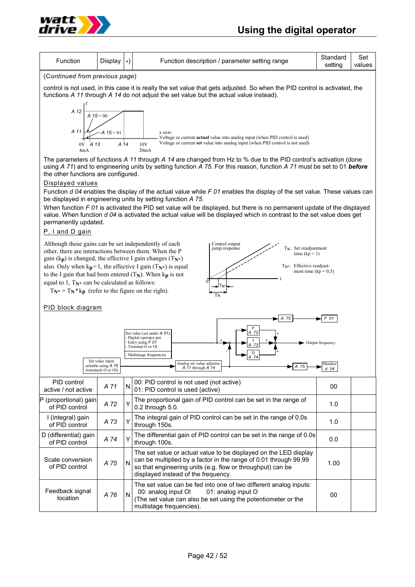

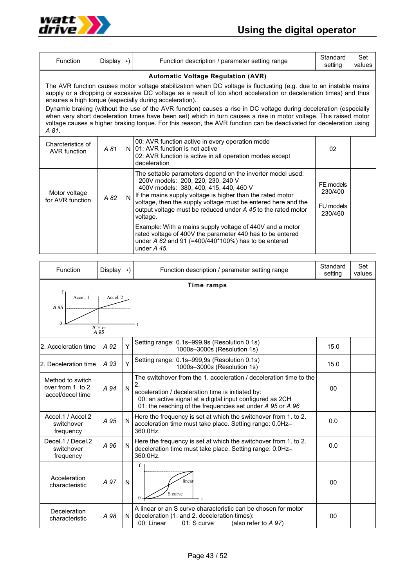

| <b>Function</b>                                                                                                                                                                                                                                                                                                                                                                                                                                                                                                                                                                                                                                                                                                           | Display $ \cdot\rangle$ |              | Function description / parameter setting range                                                                                                                                                                                                                                                                                                       | Standard<br>setting                          | Set<br>values |  |
|---------------------------------------------------------------------------------------------------------------------------------------------------------------------------------------------------------------------------------------------------------------------------------------------------------------------------------------------------------------------------------------------------------------------------------------------------------------------------------------------------------------------------------------------------------------------------------------------------------------------------------------------------------------------------------------------------------------------------|-------------------------|--------------|------------------------------------------------------------------------------------------------------------------------------------------------------------------------------------------------------------------------------------------------------------------------------------------------------------------------------------------------------|----------------------------------------------|---------------|--|
| <b>Automatic Voltage Regulation (AVR)</b><br>The AVR function causes motor voltage stabilization when DC voltage is fluctuating (e.g. due to an instable mains<br>supply or a dropping or excessive DC voltage as a result of too short acceleration or deceleration times) and thus<br>ensures a high torque (especially during acceleration).<br>Dynamic braking (without the use of the AVR function) causes a rise in DC voltage during deceleration (especially<br>when very short deceleration times have been set) which in turn causes a rise in motor voltage. This raised motor<br>voltage causes a higher braking torque. For this reason, the AVR function can be deactivated for deceleration using<br>A 81. |                         |              |                                                                                                                                                                                                                                                                                                                                                      |                                              |               |  |
| Charcteristics of<br>AVR function                                                                                                                                                                                                                                                                                                                                                                                                                                                                                                                                                                                                                                                                                         | A 81                    |              | 00: AVR function active in every operation mode<br>N 01: AVR function is not active<br>02: AVR function is active in all operation modes except<br>deceleration                                                                                                                                                                                      | 02                                           |               |  |
| Motor voltage<br>for AVR function                                                                                                                                                                                                                                                                                                                                                                                                                                                                                                                                                                                                                                                                                         | A 82                    | $\mathsf{N}$ | The settable parameters depend on the inverter model used:<br>200V models: 200, 220, 230, 240 V<br>400V models: 380, 400, 415, 440, 460 V<br>If the mains supply voltage is higher than the rated motor<br>voltage, then the supply voltage must be entered here and the<br>output voltage must be reduced under A 45 to the rated motor<br>voltage. | FE models<br>230/400<br>FU models<br>230/460 |               |  |
|                                                                                                                                                                                                                                                                                                                                                                                                                                                                                                                                                                                                                                                                                                                           |                         |              | Example: With a mains supply voltage of 440V and a motor<br>rated voltage of 400V the parameter 440 has to be entered<br>under A 82 and 91 (=400/440*100%) has to be entered<br>under $A$ 45.                                                                                                                                                        |                                              |               |  |

| Function                                                                | Display | $\star$ | Function description / parameter setting range                                                                                                                                                                                                           | Standard<br>setting | Set<br>values |  |
|-------------------------------------------------------------------------|---------|---------|----------------------------------------------------------------------------------------------------------------------------------------------------------------------------------------------------------------------------------------------------------|---------------------|---------------|--|
| <b>Time ramps</b><br>f<br>Accel 1<br>Accel. 2<br>A 95<br>2CH or<br>A 95 |         |         |                                                                                                                                                                                                                                                          |                     |               |  |
| 2. Acceleration time                                                    | A 92    | Y       | Setting range: 0.1s-999,9s (Resolution 0.1s)<br>1000s-3000s (Resolution 1s)                                                                                                                                                                              | 15.0                |               |  |
| 2. Deceleration time                                                    | A 93    | Υ       | Setting range: 0.1s-999,9s (Resolution 0.1s)<br>1000s-3000s (Resolution 1s)                                                                                                                                                                              | 15.0                |               |  |
| Method to switch<br>over from 1, to 2.<br>accel/decel time              | A 94    | N       | The switchover from the 1, acceleration / deceleration time to the<br>2.<br>acceleration / deceleration time is initiated by:<br>00: an active signal at a digital input configured as 2CH<br>01: the reaching of the frequencies set under A 95 or A 96 | 00                  |               |  |
| Accel.1 / Accel.2<br>switchover<br>frequency                            | A 95    | N       | Here the frequency is set at which the switchover from 1. to 2.<br>acceleration time must take place. Setting range: 0.0Hz-<br>360.0Hz.                                                                                                                  | 0.0                 |               |  |
| Decel.1 / Decel.2<br>switchover<br>frequency                            | A 96    | N       | Here the frequency is set at which the switchover from 1. to 2.<br>deceleration time must take place. Setting range: 0.0Hz-<br>360.0Hz.                                                                                                                  | 0.0                 |               |  |
| Acceleration<br>characteristic                                          | A 97    | N       | f<br>linea <del>i</del><br>S curve                                                                                                                                                                                                                       | 00                  |               |  |
| Deceleration<br>characteristic                                          | A 98    | ΝI      | A linear or an S curve characteristic can be chosen for motor<br>deceleration (1. and 2. deceleration times):<br>00: Linear<br>$01:$ S curve<br>(also refer to $A$ 97)                                                                                   | 00                  |               |  |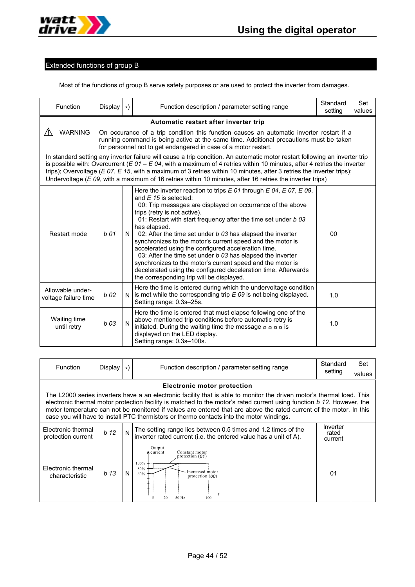

# Extended functions of group B

Most of the functions of group B serve safety purposes or are used to protect the inverter from damages.

| Function                                                                                                                                                                                                                                                                                                                                                                                                                                                                                                | Display | $\star$                                                                                                                                                                                                                                               | Function description / parameter setting range                                                                                                                                                                                                                                                                                                                                                                                                                                                                                                                                                                                                                                                                      | Standard<br>setting | Set<br>values |  |  |
|---------------------------------------------------------------------------------------------------------------------------------------------------------------------------------------------------------------------------------------------------------------------------------------------------------------------------------------------------------------------------------------------------------------------------------------------------------------------------------------------------------|---------|-------------------------------------------------------------------------------------------------------------------------------------------------------------------------------------------------------------------------------------------------------|---------------------------------------------------------------------------------------------------------------------------------------------------------------------------------------------------------------------------------------------------------------------------------------------------------------------------------------------------------------------------------------------------------------------------------------------------------------------------------------------------------------------------------------------------------------------------------------------------------------------------------------------------------------------------------------------------------------------|---------------------|---------------|--|--|
|                                                                                                                                                                                                                                                                                                                                                                                                                                                                                                         |         |                                                                                                                                                                                                                                                       | Automatic restart after inverter trip                                                                                                                                                                                                                                                                                                                                                                                                                                                                                                                                                                                                                                                                               |                     |               |  |  |
| <b>WARNING</b>                                                                                                                                                                                                                                                                                                                                                                                                                                                                                          |         | On occurance of a trip condition this function causes an automatic inverter restart if a<br>running command is being active at the same time. Additional precautions must be taken<br>for personnel not to get endangered in case of a motor restart. |                                                                                                                                                                                                                                                                                                                                                                                                                                                                                                                                                                                                                                                                                                                     |                     |               |  |  |
| In standard setting any inverter failure will cause a trip condition. An automatic motor restart following an inverter trip<br>is possible with: Overcurrent ( $E$ 01 – $E$ 04, with a maximum of 4 retries within 10 minutes, after 4 retries the inverter<br>trips); Overvoltage ( $E$ 07, $E$ 15, with a maximum of 3 retries within 10 minutes, after 3 retries the inverter trips);<br>Undervoltage ( $E$ 09, with a maximum of 16 retries within 10 minutes, after 16 retries the inverter trips) |         |                                                                                                                                                                                                                                                       |                                                                                                                                                                                                                                                                                                                                                                                                                                                                                                                                                                                                                                                                                                                     |                     |               |  |  |
| Restart mode                                                                                                                                                                                                                                                                                                                                                                                                                                                                                            | b 01    | N                                                                                                                                                                                                                                                     | Here the inverter reaction to trips $E$ 01 through $E$ 04, $E$ 07, $E$ 09,<br>and $E$ 15 is selected:<br>00: Trip messages are displayed on occurrance of the above<br>trips (retry is not active).<br>01: Restart with start frequency after the time set under b 03<br>has elapsed.<br>02: After the time set under b 03 has elapsed the inverter<br>synchronizes to the motor's current speed and the motor is<br>accelerated using the configured acceleration time.<br>03: After the time set under b 03 has elapsed the inverter<br>synchronizes to the motor's current speed and the motor is<br>decelerated using the configured deceleration time. Afterwards<br>the corresponding trip will be displayed. | 00                  |               |  |  |
| Allowable under-<br>voltage failure time                                                                                                                                                                                                                                                                                                                                                                                                                                                                | $b$ 02  | N                                                                                                                                                                                                                                                     | Here the time is entered during which the undervoltage condition<br>is met while the corresponding trip $E$ 09 is not being displayed.<br>Setting range: 0.3s-25s.                                                                                                                                                                                                                                                                                                                                                                                                                                                                                                                                                  | 1.0                 |               |  |  |
| Waiting time<br>until retry                                                                                                                                                                                                                                                                                                                                                                                                                                                                             | b 03    | N                                                                                                                                                                                                                                                     | Here the time is entered that must elapse following one of the<br>above mentioned trip conditions before automatic retry is<br>initiated. During the waiting time the message $\overline{a}$ a $\overline{a}$ is<br>displayed on the LED display.<br>Setting range: 0.3s-100s.                                                                                                                                                                                                                                                                                                                                                                                                                                      | 1.0                 |               |  |  |

| Function                                                                                                                                                                                                                                                                                                                                                                                                                                                                                                   | Display         | $_{\star}$ | Function description / parameter setting range                                                                                                 | Standard<br>setting          | Set<br>values |
|------------------------------------------------------------------------------------------------------------------------------------------------------------------------------------------------------------------------------------------------------------------------------------------------------------------------------------------------------------------------------------------------------------------------------------------------------------------------------------------------------------|-----------------|------------|------------------------------------------------------------------------------------------------------------------------------------------------|------------------------------|---------------|
| <b>Electronic motor protection</b><br>The L2000 series inverters have a an electronic facility that is able to monitor the driven motor's thermal load. This<br>electronic thermal motor protection facility is matched to the motor's rated current using function b 12. However, the<br>motor temperature can not be monitored if values are entered that are above the rated current of the motor. In this<br>case you will have to install PTC thermistors or thermo contacts into the motor windings. |                 |            |                                                                                                                                                |                              |               |
| Electronic thermal<br>protection current                                                                                                                                                                                                                                                                                                                                                                                                                                                                   | b <sub>12</sub> | N          | The setting range lies between 0.5 times and 1.2 times of the<br>inverter rated current (i.e. the entered value has a unit of A).              | Inverter<br>rated<br>current |               |
| Electronic thermal<br>characteristic                                                                                                                                                                                                                                                                                                                                                                                                                                                                       | b <sub>13</sub> | N          | Output<br>Constant motor<br>A current<br>protection $(01)$<br>100%<br>80%<br>Increased motor<br>60%<br>protection $(00)$<br>20<br>50 Hz<br>100 | 01                           |               |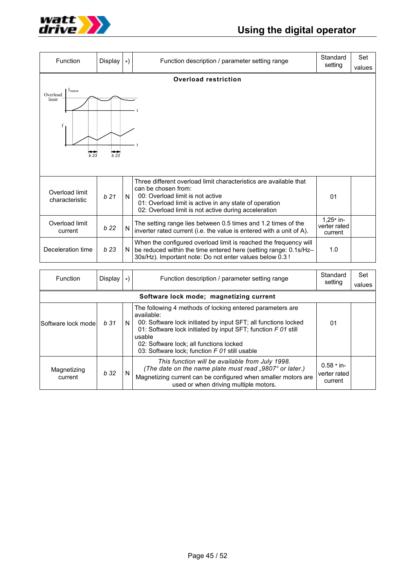

| Function                                               | Display         | $\star)$ | Function description / parameter setting range                                                                                                                                                                                                 | Standard<br>setting                    | Set<br>values |
|--------------------------------------------------------|-----------------|----------|------------------------------------------------------------------------------------------------------------------------------------------------------------------------------------------------------------------------------------------------|----------------------------------------|---------------|
|                                                        |                 |          | <b>Overload restriction</b>                                                                                                                                                                                                                    |                                        |               |
| I <sub>motor</sub><br>Overload<br>limit<br>f<br>$b$ 23 | b23             |          |                                                                                                                                                                                                                                                |                                        |               |
| Overload limit<br>characteristic                       | b21             | N        | Three different overload limit characteristics are available that<br>can be chosen from:<br>00: Overload limit is not active<br>01: Overload limit is active in any state of operation<br>02: Overload limit is not active during acceleration | 01                                     |               |
| Overload limit<br>current                              | b <sub>22</sub> | N        | The setting range lies between 0.5 times and 1.2 times of the<br>inverter rated current (i.e. the value is entered with a unit of A).                                                                                                          | $1,25*$ in-<br>verter rated<br>current |               |
| Deceleration time                                      | b23             | N        | When the configured overload limit is reached the frequency will<br>be reduced within the time entered here (setting range: 0.1s/Hz-<br>30s/Hz). Important note: Do not enter values below 0.3 !                                               | 1.0                                    |               |
| $F_{i}$ in otion                                       | Dianlau         |          | Eunetian deperintion / noromator potting ropas                                                                                                                                                                                                 | Standard                               | Set           |

| Function               | Display         | $\star$ | Function description / parameter setting range                                                                                                                                                                                                                                                                   | Standard<br>setting                     | Set<br>values |
|------------------------|-----------------|---------|------------------------------------------------------------------------------------------------------------------------------------------------------------------------------------------------------------------------------------------------------------------------------------------------------------------|-----------------------------------------|---------------|
|                        |                 |         | Software lock mode; magnetizing current                                                                                                                                                                                                                                                                          |                                         |               |
| Software lock mode     | b <sub>31</sub> | N.      | The following 4 methods of locking entered parameters are<br>available:<br>00: Software lock initiated by input SFT; all functions locked<br>01: Software lock initiated by input SFT; function F 01 still<br>usable<br>02: Software lock; all functions locked<br>03: Software lock; function F 01 still usable | 01                                      |               |
| Magnetizing<br>current | b 32            | N       | This function will be available from July 1998.<br>(The date on the name plate must read "9807" or later.)<br>Magnetizing current can be configured when smaller motors are<br>used or when driving multiple motors.                                                                                             | $0.58 * in-$<br>verter rated<br>current |               |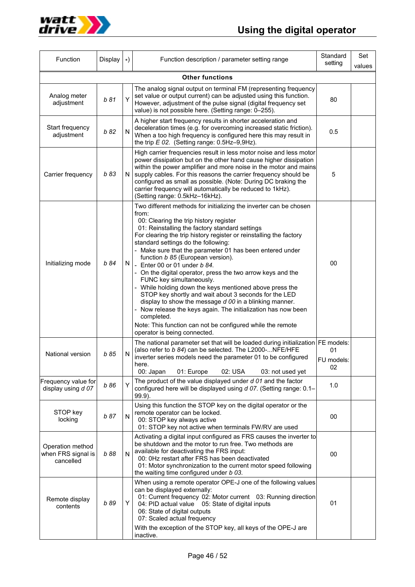



| Function                                            | Display | $\ast)$ | Function description / parameter setting range                                                                                                                                                                                                                                                                                                                                                                                                                                                                                                                                                                                                                                                                                                                                                                                                                         | Standard<br>setting    | Set<br>values |
|-----------------------------------------------------|---------|---------|------------------------------------------------------------------------------------------------------------------------------------------------------------------------------------------------------------------------------------------------------------------------------------------------------------------------------------------------------------------------------------------------------------------------------------------------------------------------------------------------------------------------------------------------------------------------------------------------------------------------------------------------------------------------------------------------------------------------------------------------------------------------------------------------------------------------------------------------------------------------|------------------------|---------------|
| <b>Other functions</b>                              |         |         |                                                                                                                                                                                                                                                                                                                                                                                                                                                                                                                                                                                                                                                                                                                                                                                                                                                                        |                        |               |
| Analog meter<br>adjustment                          | b 81    | Υ       | The analog signal output on terminal FM (representing frequency<br>set value or output current) can be adjusted using this function.<br>However, adjustment of the pulse signal (digital frequency set<br>value) is not possible here. (Setting range: 0-255).                                                                                                                                                                                                                                                                                                                                                                                                                                                                                                                                                                                                         |                        |               |
| Start frequency<br>adjustment                       | b 82    | N       | A higher start frequency results in shorter acceleration and<br>deceleration times (e.g. for overcoming increased static friction).<br>When a too high frequency is configured here this may result in<br>the trip $E$ 02. (Setting range: 0.5Hz-9,9Hz).                                                                                                                                                                                                                                                                                                                                                                                                                                                                                                                                                                                                               |                        |               |
| Carrier frequency                                   | b 83    | N       | High carrier frequencies result in less motor noise and less motor<br>power dissipation but on the other hand cause higher dissipation<br>within the power amplifier and more noise in the motor and mains<br>supply cables. For this reasons the carrier frequency should be<br>configured as small as possible. (Note: During DC braking the<br>carrier frequency will automatically be reduced to 1kHz).<br>(Setting range: 0.5kHz-16kHz).                                                                                                                                                                                                                                                                                                                                                                                                                          |                        |               |
| Initializing mode                                   | b 84    | N       | Two different methods for initializing the inverter can be chosen<br>from:<br>00: Clearing the trip history register<br>01: Reinstalling the factory standard settings<br>For clearing the trip history register or reinstalling the factory<br>standard settings do the following:<br>Make sure that the parameter 01 has been entered under<br>function b 85 (European version).<br>- Enter 00 or 01 under $b$ 84.<br>- On the digital operator, press the two arrow keys and the<br>FUNC key simultaneously.<br>While holding down the keys mentioned above press the<br>STOP key shortly and wait about 3 seconds for the LED<br>display to show the message d 00 in a blinking manner.<br>Now release the keys again. The initialization has now been<br>completed.<br>Note: This function can not be configured while the remote<br>operator is being connected. | 00                     |               |
| National version                                    | b 85    | N       | The national parameter set that will be loaded during initialization   FE models:<br>(also refer to b 84) can be selected. The L2000-NFE/HFE<br>inverter series models need the parameter 01 to be configured<br>here.<br>01: Europe<br>02: USA<br>00: Japan<br>03: not used yet                                                                                                                                                                                                                                                                                                                                                                                                                                                                                                                                                                                       | 01<br>FU models:<br>02 |               |
| Frequency value for<br>display using d 07           | b 86    | Υ       | The product of the value displayed under d 01 and the factor<br>configured here will be displayed using d 07. (Setting range: 0.1-<br>$99.9$ ).                                                                                                                                                                                                                                                                                                                                                                                                                                                                                                                                                                                                                                                                                                                        | 1.0                    |               |
| STOP key<br>locking                                 | b 87    | N       | Using this function the STOP key on the digital operator or the<br>remote operator can be locked.<br>00: STOP key always active<br>01: STOP key not active when terminals FW/RV are used                                                                                                                                                                                                                                                                                                                                                                                                                                                                                                                                                                                                                                                                               | 00                     |               |
| Operation method<br>when FRS signal is<br>cancelled | b 88    | N       | Activating a digital input configured as FRS causes the inverter to<br>be shutdown and the motor to run free. Two methods are<br>available for deactivating the FRS input:<br>00: 0Hz restart after FRS has been deactivated<br>01: Motor synchronization to the current motor speed following<br>the waiting time configured under b 03.                                                                                                                                                                                                                                                                                                                                                                                                                                                                                                                              | 00                     |               |
| Remote display<br>contents                          | b 89    | Y       | When using a remote operator OPE-J one of the following values<br>can be displayed externally:<br>01: Current frequency 02: Motor current 03: Running direction<br>04: PID actual value 05: State of digital inputs<br>06: State of digital outputs<br>07: Scaled actual frequency<br>With the exception of the STOP key, all keys of the OPE-J are<br>inactive.                                                                                                                                                                                                                                                                                                                                                                                                                                                                                                       | 01                     |               |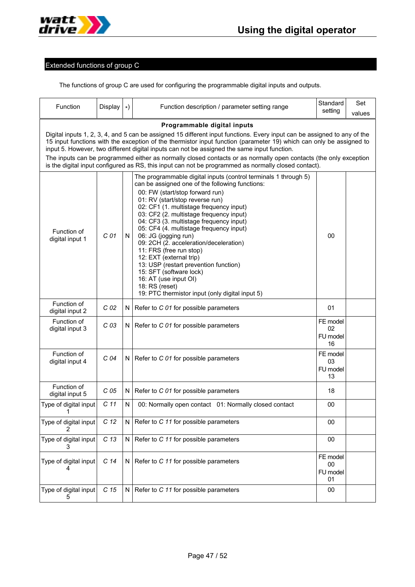

# Extended functions of group C

The functions of group C are used for configuring the programmable digital inputs and outputs.

| Function                                                                                                                                                                                                                                                                                                                                                                                                                                                                                                                                                                   | Display         | $\ast)$      | Function description / parameter setting range                                                                                                                                                                                                                                                                                                                                                                                                                                                                                                                                                                                                                 | Standard<br>setting              | Set<br>values |  |
|----------------------------------------------------------------------------------------------------------------------------------------------------------------------------------------------------------------------------------------------------------------------------------------------------------------------------------------------------------------------------------------------------------------------------------------------------------------------------------------------------------------------------------------------------------------------------|-----------------|--------------|----------------------------------------------------------------------------------------------------------------------------------------------------------------------------------------------------------------------------------------------------------------------------------------------------------------------------------------------------------------------------------------------------------------------------------------------------------------------------------------------------------------------------------------------------------------------------------------------------------------------------------------------------------------|----------------------------------|---------------|--|
| Programmable digital inputs                                                                                                                                                                                                                                                                                                                                                                                                                                                                                                                                                |                 |              |                                                                                                                                                                                                                                                                                                                                                                                                                                                                                                                                                                                                                                                                |                                  |               |  |
| Digital inputs 1, 2, 3, 4, and 5 can be assigned 15 different input functions. Every input can be assigned to any of the<br>15 input functions with the exception of the thermistor input function (parameter 19) which can only be assigned to<br>input 5. However, two different digital inputs can not be assigned the same input function.<br>The inputs can be programmed either as normally closed contacts or as normally open contacts (the only exception<br>is the digital input configured as RS, this input can not be programmed as normally closed contact). |                 |              |                                                                                                                                                                                                                                                                                                                                                                                                                                                                                                                                                                                                                                                                |                                  |               |  |
| Function of<br>digital input 1                                                                                                                                                                                                                                                                                                                                                                                                                                                                                                                                             | C 01            | N            | The programmable digital inputs (control terminals 1 through 5)<br>can be assigned one of the following functions:<br>00: FW (start/stop forward run)<br>01: RV (start/stop reverse run)<br>02: CF1 (1. multistage frequency input)<br>03: CF2 (2. multistage frequency input)<br>04: CF3 (3. multistage frequency input)<br>05: CF4 (4. multistage frequency input)<br>06: JG (jogging run)<br>09: 2CH (2. acceleration/deceleration)<br>11: FRS (free run stop)<br>12: EXT (external trip)<br>13: USP (restart prevention function)<br>15: SFT (software lock)<br>16: AT (use input OI)<br>18: RS (reset)<br>19: PTC thermistor input (only digital input 5) | 00                               |               |  |
| Function of<br>digital input 2                                                                                                                                                                                                                                                                                                                                                                                                                                                                                                                                             | C <sub>02</sub> | N            | Refer to C 01 for possible parameters                                                                                                                                                                                                                                                                                                                                                                                                                                                                                                                                                                                                                          | 01                               |               |  |
| Function of<br>digital input 3                                                                                                                                                                                                                                                                                                                                                                                                                                                                                                                                             | C <sub>03</sub> | N            | Refer to C 01 for possible parameters                                                                                                                                                                                                                                                                                                                                                                                                                                                                                                                                                                                                                          | FE model<br>02<br>FU model<br>16 |               |  |
| Function of<br>digital input 4                                                                                                                                                                                                                                                                                                                                                                                                                                                                                                                                             | C <sub>04</sub> | N            | Refer to C 01 for possible parameters                                                                                                                                                                                                                                                                                                                                                                                                                                                                                                                                                                                                                          | FE model<br>03<br>FU model<br>13 |               |  |
| Function of<br>digital input 5                                                                                                                                                                                                                                                                                                                                                                                                                                                                                                                                             | C <sub>05</sub> | N            | Refer to C 01 for possible parameters                                                                                                                                                                                                                                                                                                                                                                                                                                                                                                                                                                                                                          | 18                               |               |  |
| Type of digital input<br>1                                                                                                                                                                                                                                                                                                                                                                                                                                                                                                                                                 | C <sub>11</sub> | $\mathsf{N}$ | 00: Normally open contact 01: Normally closed contact                                                                                                                                                                                                                                                                                                                                                                                                                                                                                                                                                                                                          | 00                               |               |  |
| Type of digital input<br>2                                                                                                                                                                                                                                                                                                                                                                                                                                                                                                                                                 | C <sub>12</sub> | N            | Refer to C 11 for possible parameters                                                                                                                                                                                                                                                                                                                                                                                                                                                                                                                                                                                                                          | 00                               |               |  |
| Type of digital input                                                                                                                                                                                                                                                                                                                                                                                                                                                                                                                                                      | C <sub>13</sub> | N            | Refer to C 11 for possible parameters                                                                                                                                                                                                                                                                                                                                                                                                                                                                                                                                                                                                                          | 00                               |               |  |
| Type of digital input<br>4                                                                                                                                                                                                                                                                                                                                                                                                                                                                                                                                                 | C <sub>14</sub> | N            | Refer to C 11 for possible parameters                                                                                                                                                                                                                                                                                                                                                                                                                                                                                                                                                                                                                          | FE model<br>00<br>FU model<br>01 |               |  |
| Type of digital input                                                                                                                                                                                                                                                                                                                                                                                                                                                                                                                                                      | C <sub>15</sub> | N            | Refer to C 11 for possible parameters                                                                                                                                                                                                                                                                                                                                                                                                                                                                                                                                                                                                                          | 00                               |               |  |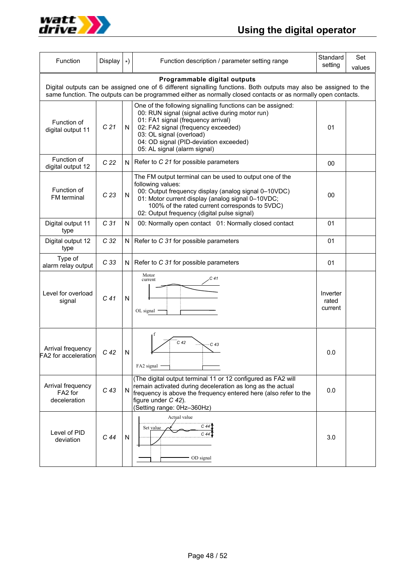



| Function                                     | Display         | $\star$   | Function description / parameter setting range                                                                                                                                                                                                                                                   | Standard<br>setting          | Set<br>values |
|----------------------------------------------|-----------------|-----------|--------------------------------------------------------------------------------------------------------------------------------------------------------------------------------------------------------------------------------------------------------------------------------------------------|------------------------------|---------------|
| Programmable digital outputs                 |                 |           |                                                                                                                                                                                                                                                                                                  |                              |               |
|                                              |                 |           | Digital outputs can be assigned one of 6 different signalling functions. Both outputs may also be assigned to the<br>same function. The outputs can be programmed either as normally closed contacts or as normally open contacts.                                                               |                              |               |
| Function of<br>digital output 11             | C <sub>21</sub> | N         | One of the following signalling functions can be assigned:<br>00: RUN signal (signal active during motor run)<br>01: FA1 signal (frequency arrival)<br>02: FA2 signal (frequency exceeded)<br>03: OL signal (overload)<br>04: OD signal (PID-deviation exceeded)<br>05: AL signal (alarm signal) | 01                           |               |
| Function of<br>digital output 12             | C <sub>22</sub> | N         | Refer to C 21 for possible parameters                                                                                                                                                                                                                                                            | 00                           |               |
| Function of<br>FM terminal                   | C <sub>23</sub> | ${\sf N}$ | The FM output terminal can be used to output one of the<br>following values:<br>00: Output frequency display (analog signal 0-10VDC)<br>01: Motor current display (analog signal 0-10VDC;<br>100% of the rated current corresponds to 5VDC)<br>02: Output frequency (digital pulse signal)       | 00                           |               |
| Digital output 11<br>type                    | C <sub>31</sub> | N         | 00: Normally open contact 01: Normally closed contact                                                                                                                                                                                                                                            | 01                           |               |
| Digital output 12<br>type                    | C <sub>32</sub> | N         | Refer to C 31 for possible parameters                                                                                                                                                                                                                                                            |                              |               |
| Type of<br>alarm relay output                | C <sub>33</sub> | N         | Refer to C 31 for possible parameters                                                                                                                                                                                                                                                            | 01                           |               |
| Level for overload<br>signal                 | C <sub>41</sub> | N         | Motor<br>current<br>OL signal                                                                                                                                                                                                                                                                    | Inverter<br>rated<br>current |               |
| Arrival frequency<br>FA2 for acceleration    | C <sub>42</sub> | N         | C <sub>42</sub><br>$-C$ 43<br>FA2 signal -                                                                                                                                                                                                                                                       | 0.0                          |               |
| Arrival frequency<br>FA2 for<br>deceleration | C <sub>43</sub> | N         | (The digital output terminal 11 or 12 configured as FA2 will<br>remain activated during deceleration as long as the actual<br>frequency is above the frequency entered here (also refer to the<br>figure under C 42).<br>(Setting range: 0Hz-360Hz)                                              |                              |               |
| Level of PID<br>deviation                    | C <sub>44</sub> | N         | Actual value<br>$C$ 44<br>Set value<br>C <sub>44</sub><br>OD signal                                                                                                                                                                                                                              |                              |               |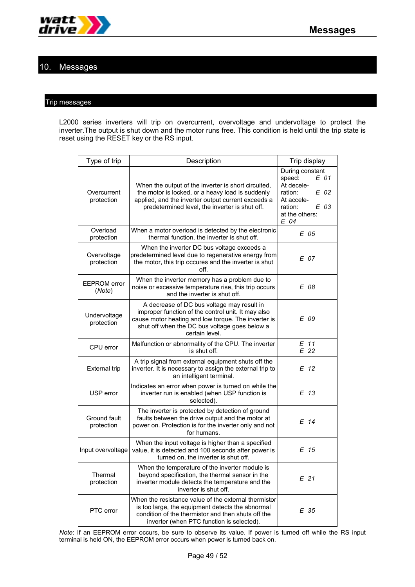

# 10. Messages

## Trip messages

L2000 series inverters will trip on overcurrent, overvoltage and undervoltage to protect the inverter.The output is shut down and the motor runs free. This condition is held until the trip state is reset using the RESET key or the RS input.

| Type of trip                  | Description                                                                                                                                                                                                                | Trip display                                                                                                                  |  |  |
|-------------------------------|----------------------------------------------------------------------------------------------------------------------------------------------------------------------------------------------------------------------------|-------------------------------------------------------------------------------------------------------------------------------|--|--|
| Overcurrent<br>protection     | When the output of the inverter is short circuited,<br>the motor is locked, or a heavy load is suddenly<br>applied, and the inverter output current exceeds a<br>predetermined level, the inverter is shut off.            | During constant<br>E 01<br>speed:<br>At decele-<br>ration:<br>E 02<br>At accele-<br>E 03<br>ration:<br>at the others:<br>E 04 |  |  |
| Overload<br>protection        | When a motor overload is detected by the electronic<br>thermal function, the inverter is shut off.                                                                                                                         | E 05                                                                                                                          |  |  |
| Overvoltage<br>protection     | When the inverter DC bus voltage exceeds a<br>predetermined level due to regenerative energy from<br>the motor, this trip occures and the inverter is shut<br>off.                                                         | E 07                                                                                                                          |  |  |
| <b>EEPROM</b> error<br>(Note) | When the inverter memory has a problem due to<br>noise or excessive temperature rise, this trip occurs<br>and the inverter is shut off.                                                                                    | E 08                                                                                                                          |  |  |
| Undervoltage<br>protection    | A decrease of DC bus voltage may result in<br>improper function of the control unit. It may also<br>cause motor heating and low torque. The inverter is<br>shut off when the DC bus voltage goes below a<br>certain level. | E 09                                                                                                                          |  |  |
| CPU error                     | Malfunction or abnormality of the CPU. The inverter<br>is shut off.                                                                                                                                                        | E 11<br>E 22                                                                                                                  |  |  |
| <b>External trip</b>          | A trip signal from external equipment shuts off the<br>inverter. It is necessary to assign the external trip to<br>an intelligent terminal.                                                                                | E 12                                                                                                                          |  |  |
| USP error                     | Indicates an error when power is turned on while the<br>inverter run is enabled (when USP function is<br>selected).                                                                                                        | E 13                                                                                                                          |  |  |
| Ground fault<br>protection    | The inverter is protected by detection of ground<br>faults between the drive output and the motor at<br>power on. Protection is for the inverter only and not<br>for humans.                                               | E 14                                                                                                                          |  |  |
| Input overvoltage             | When the input voltage is higher than a specified<br>value, it is detected and 100 seconds after power is<br>turned on, the inverter is shut off.                                                                          | E 15                                                                                                                          |  |  |
| Thermal<br>protection         | When the temperature of the inverter module is<br>beyond specification, the thermal sensor in the<br>inverter module detects the temperature and the<br>inverter is shut off.                                              | E 21                                                                                                                          |  |  |
| PTC error                     | When the resistance value of the external thermistor<br>is too large, the equipment detects the abnormal<br>condition of the thermistor and then shuts off the<br>inverter (when PTC function is selected).                | E 35                                                                                                                          |  |  |

*Note*: If an EEPROM error occurs, be sure to observe its value. If power is turned off while the RS input terminal is held ON, the EEPROM error occurs when power is turned back on.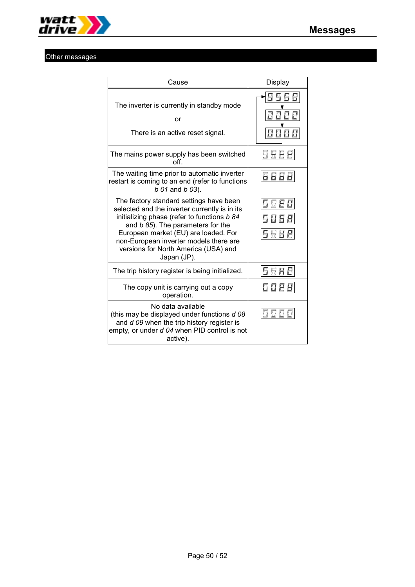

# Other messages

| Cause                                                                                                                                                                                                                                                                                                                 | Display |
|-----------------------------------------------------------------------------------------------------------------------------------------------------------------------------------------------------------------------------------------------------------------------------------------------------------------------|---------|
| The inverter is currently in standby mode<br>or<br>There is an active reset signal.                                                                                                                                                                                                                                   |         |
| The mains power supply has been switched<br>off                                                                                                                                                                                                                                                                       | H       |
| The waiting time prior to automatic inverter<br>restart is coming to an end (refer to functions<br>b 01 and b 03).                                                                                                                                                                                                    |         |
| The factory standard settings have been<br>selected and the inverter currently is in its<br>initializing phase (refer to functions b 84<br>and b 85). The parameters for the<br>European market (EU) are loaded. For<br>non-European inverter models there are<br>versions for North America (USA) and<br>Japan (JP). |         |
| The trip history register is being initialized.                                                                                                                                                                                                                                                                       |         |
| The copy unit is carrying out a copy<br>operation.                                                                                                                                                                                                                                                                    |         |
| No data available<br>(this may be displayed under functions d 08)<br>and d 09 when the trip history register is<br>empty, or under d 04 when PID control is not<br>active).                                                                                                                                           |         |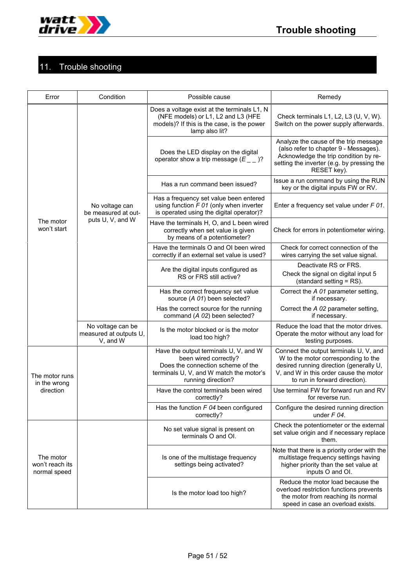

# 11. Trouble shooting

| Error                                        | Condition                                               | Possible cause                                                                                                                                                       | Remedy                                                                                                                                                                                              |
|----------------------------------------------|---------------------------------------------------------|----------------------------------------------------------------------------------------------------------------------------------------------------------------------|-----------------------------------------------------------------------------------------------------------------------------------------------------------------------------------------------------|
|                                              |                                                         | Does a voltage exist at the terminals L1, N<br>(NFE models) or L1, L2 and L3 (HFE<br>models)? If this is the case, is the power<br>lamp also lit?                    | Check terminals L1, L2, L3 (U, V, W).<br>Switch on the power supply afterwards.                                                                                                                     |
|                                              |                                                         | Does the LED display on the digital<br>operator show a trip message $(E_ - )$ ?                                                                                      | Analyze the cause of the trip message<br>(also refer to chapter 9 - Messages).<br>Acknowledge the trip condition by re-<br>setting the inverter (e.g. by pressing the<br>RESET key).                |
|                                              |                                                         | Has a run command been issued?                                                                                                                                       | Issue a run command by using the RUN<br>key or the digital inputs FW or RV.                                                                                                                         |
|                                              | No voltage can<br>be measured at out-                   | Has a frequency set value been entered<br>using function $F$ 01 (only when inverter<br>is operated using the digital operator)?                                      | Enter a frequency set value under F 01.                                                                                                                                                             |
| The motor<br>won't start                     | puts U, V, and W                                        | Have the terminals H, O, and L been wired<br>correctly when set value is given<br>by means of a potentiometer?                                                       | Check for errors in potentiometer wiring.                                                                                                                                                           |
|                                              |                                                         | Have the terminals O and OI been wired<br>correctly if an external set value is used?                                                                                | Check for correct connection of the<br>wires carrying the set value signal.                                                                                                                         |
|                                              |                                                         | Are the digital inputs configured as<br>RS or FRS still active?                                                                                                      | Deactivate RS or FRS.<br>Check the signal on digital input 5<br>(standard setting = RS).                                                                                                            |
|                                              |                                                         | Has the correct frequency set value<br>source (A 01) been selected?                                                                                                  | Correct the A 01 parameter setting,<br>if necessary.                                                                                                                                                |
|                                              |                                                         | Has the correct source for the running<br>command (A 02) been selected?                                                                                              | Correct the A 02 parameter setting,<br>if necessary.                                                                                                                                                |
|                                              | No voltage can be<br>measured at outputs U,<br>V, and W | Is the motor blocked or is the motor<br>load too high?                                                                                                               | Reduce the load that the motor drives.<br>Operate the motor without any load for<br>testing purposes.                                                                                               |
| The motor runs<br>in the wrong               |                                                         | Have the output terminals U, V, and W<br>been wired correctly?<br>Does the connection scheme of the<br>terminals U, V, and W match the motor's<br>running direction? | Connect the output terminals U, V, and<br>W to the motor corresponding to the<br>desired running direction (generally U,<br>V, and W in this order cause the motor<br>to run in forward direction). |
| direction                                    |                                                         | Have the control terminals been wired<br>correctly?                                                                                                                  | Use terminal FW for forward run and RV<br>for reverse run.                                                                                                                                          |
|                                              |                                                         | Has the function $F$ 04 been configured<br>correctly?                                                                                                                | Configure the desired running direction<br>under $F$ 04.                                                                                                                                            |
|                                              |                                                         | No set value signal is present on<br>terminals O and OI.                                                                                                             | Check the potentiometer or the external<br>set value origin and if necessary replace<br>them.                                                                                                       |
| The motor<br>won't reach its<br>normal speed |                                                         | Is one of the multistage frequency<br>settings being activated?                                                                                                      | Note that there is a priority order with the<br>multistage frequency settings having<br>higher priority than the set value at<br>inputs O and OI.                                                   |
|                                              |                                                         | Is the motor load too high?                                                                                                                                          | Reduce the motor load because the<br>overload restriction functions prevents<br>the motor from reaching its normal<br>speed in case an overload exists.                                             |